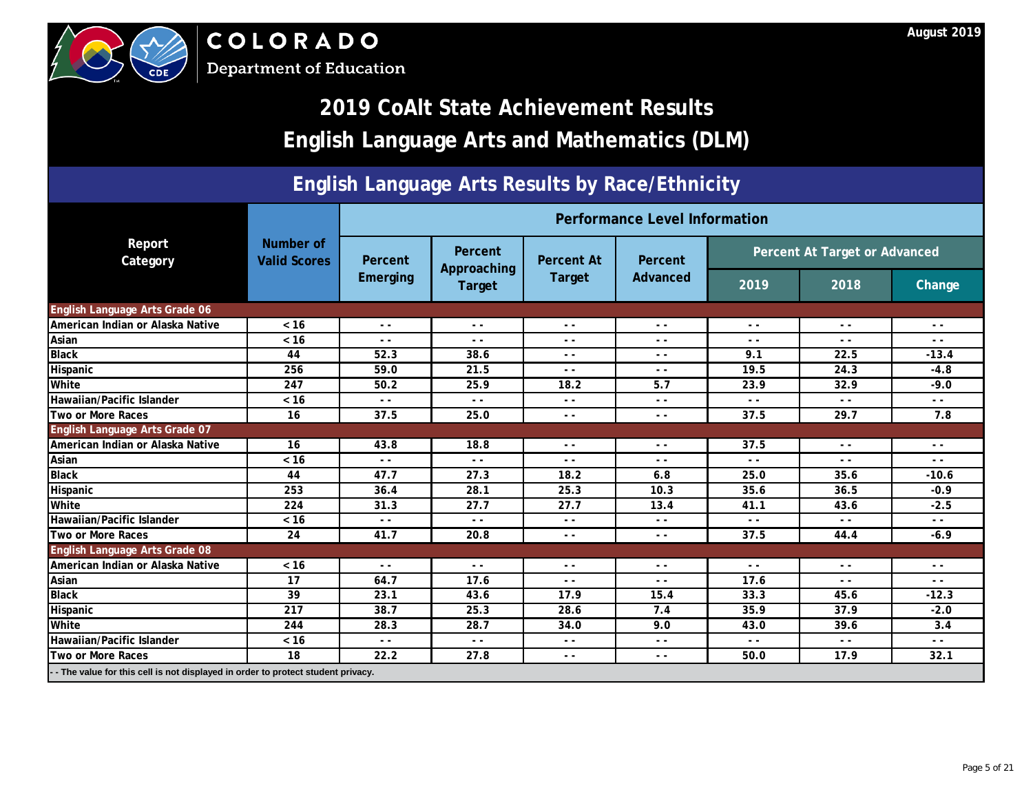



## **2019 CoAlt State Achievement Results English Language Arts and Mathematics (DLM)**

### **English Language Arts Results by Race/Ethnicity**

|                                                                                   |                                  |                 |                        |                          | <b>Performance LeveNnformation</b> |                               |               | Change<br>$\sim$ $\sim$<br>$ -$<br>$-13.4$<br>$-4.8$<br>$-9.0$<br>$ -$<br>7.8<br>$ -$<br>- -<br>$-10.6$<br>$-0.9$<br>$-2.5$<br>$ -$<br>$-6.9$<br>$ -$<br>$ -$<br>$-12.3$<br>$-2.0$<br>3.4<br>$ -$ |
|-----------------------------------------------------------------------------------|----------------------------------|-----------------|------------------------|--------------------------|------------------------------------|-------------------------------|---------------|---------------------------------------------------------------------------------------------------------------------------------------------------------------------------------------------------|
| Report<br>Category                                                                | Number of<br><b>Valid Scores</b> | Percent         | Percent<br>Approaching | <b>Percent At</b>        | Percent                            | Percent At Target or Advanced |               |                                                                                                                                                                                                   |
|                                                                                   |                                  | <b>Emerging</b> | <b>Target</b>          | <b>Target</b>            | Advanced                           | 2019                          | 2018          |                                                                                                                                                                                                   |
| English Language Arts Grade 06                                                    |                                  |                 |                        |                          |                                    |                               |               |                                                                                                                                                                                                   |
| American Indian or Alaska Native                                                  | $< 16$                           | $ -$            | $ -$                   | $ -$<br>$\sum_{i=1}^{n}$ | $ -$                               | $\sim$ $\sim$                 | $\sim$ $\sim$ |                                                                                                                                                                                                   |
| Asian                                                                             | $< 16$                           | $ -$            | $ -$                   |                          | - -                                | $ -$                          | - -           |                                                                                                                                                                                                   |
| <b>Black</b>                                                                      | 44                               | 52.3            | 38.6                   |                          | $ -$                               | 9.1                           | 22.5          |                                                                                                                                                                                                   |
| Hispanic                                                                          | 256                              | 59.0            | 21.5                   | $\mathbf{z}$             | $ -$                               | 19.5                          | 24.3          |                                                                                                                                                                                                   |
| White                                                                             | 247                              | 50.2            | 25.9                   | 18.2                     | 5.7                                | 23.9                          | 32.9          |                                                                                                                                                                                                   |
| Hawaiian/Pacific Islander                                                         | $< 16$                           | $ -$            | $ -$                   | - -                      | $ -$                               | $ -$                          | $ -$          |                                                                                                                                                                                                   |
| <b>Two or More Races</b>                                                          | 16                               | 37.5            | 25.0                   | $ -$                     | $ -$                               | 37.5                          | 29.7          |                                                                                                                                                                                                   |
| <b>English Language Arts Grade 07</b>                                             |                                  |                 |                        |                          |                                    |                               |               |                                                                                                                                                                                                   |
| American Indian or Alaska Native                                                  | 16                               | 43.8            | 18.8                   | $ -$                     | $ -$                               | 37.5                          | $ -$          |                                                                                                                                                                                                   |
| Asian                                                                             | $< 16$                           | $ -$            |                        | - -                      | $ -$                               | $ -$                          | - -           |                                                                                                                                                                                                   |
| <b>Black</b>                                                                      | 44                               | 47.7            | 27.3                   | 18.2                     | 6.8                                | 25.0                          | 35.6          |                                                                                                                                                                                                   |
| Hispanic                                                                          | 253                              | 36.4            | 28.1                   | 25.3                     | 10.3                               | 35.6                          | 36.5          |                                                                                                                                                                                                   |
| White                                                                             | 224                              | 31.3            | 27.7                   | 27.7                     | 13.4                               | 41.1                          | 43.6          |                                                                                                                                                                                                   |
| Hawaiian/Pacific Islander                                                         | $< 16$                           |                 | $ -$                   | $ -$                     | $ -$                               | $ -$                          | - -           |                                                                                                                                                                                                   |
| Two or More Races                                                                 | 24                               | 477             | 20.8                   | $\sim$ $\sim$            | $\sim$ $\sim$                      | 37.5                          | 44.4          |                                                                                                                                                                                                   |
| English Language Arts Grade 08                                                    |                                  |                 |                        |                          |                                    |                               |               |                                                                                                                                                                                                   |
| American Indian or Alaska Native                                                  | $< 16$                           | $ -$            | $ -$                   | $ -$                     | $ -$                               | $ -$                          | $ -$          |                                                                                                                                                                                                   |
| Asian                                                                             | 17                               | 64.7            | 17.6                   | $ -$                     | $ -$                               | 17.6                          | $ -$          |                                                                                                                                                                                                   |
| <b>Black</b>                                                                      | 39                               | 23.1            | 43.6                   | 17.9                     | 15.4                               | 33.3                          | 45.6          |                                                                                                                                                                                                   |
| Hispanic                                                                          | 217                              | 38.7            | 25.3                   | 28.6                     | 7.4                                | 35.9                          | 37.9          |                                                                                                                                                                                                   |
| White                                                                             | 244                              | 28.3            | 28.7                   | 34.0                     | 9.0                                | 43.0                          | 39.6          |                                                                                                                                                                                                   |
| Hawaiian/Pacific Islander                                                         | $< 16$                           | $ -$            | $ -$                   | $\sim$ $\sim$            | $ -$                               | - -                           | $ -$          |                                                                                                                                                                                                   |
| Two or More Races                                                                 | 18                               | 22.2            | 27.8                   | $\sim$ $\sim$            | $ -$                               | 50.0                          | 17.9          | 32.1                                                                                                                                                                                              |
| - - The value for this cell is not displayed in order to protect student privacy. |                                  |                 |                        |                          |                                    |                               |               |                                                                                                                                                                                                   |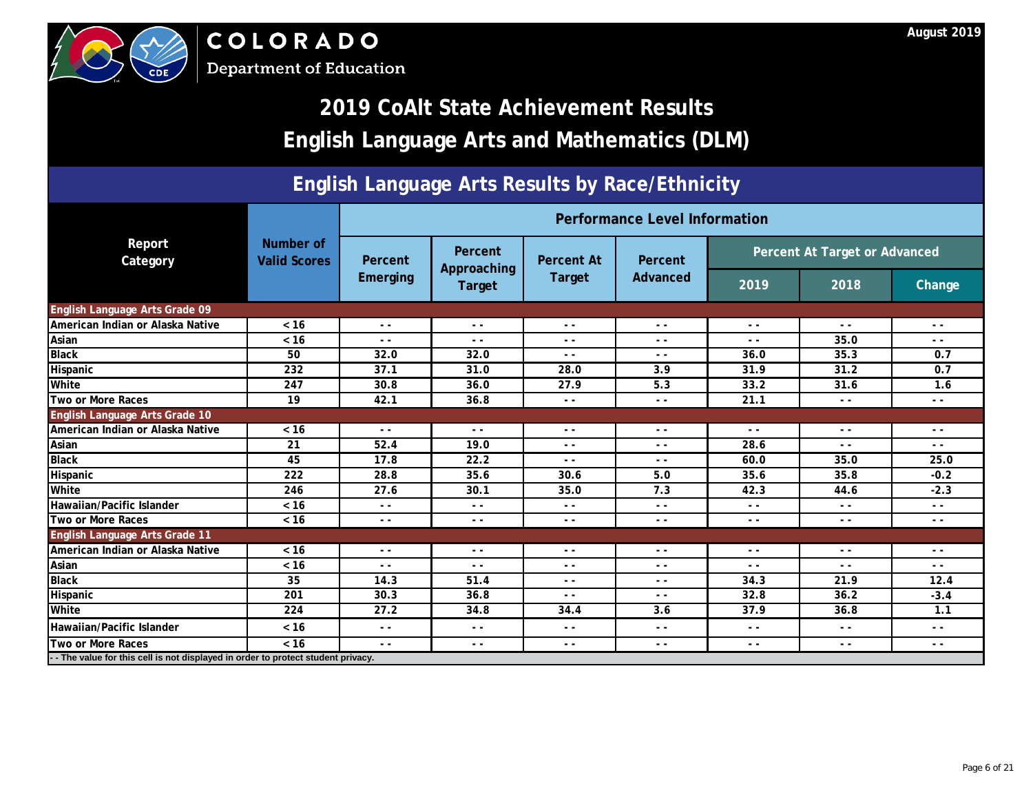



## **2019 CoAlt State Achievement Results English Language Arts and Mathematics (DLM)**

### **English Language Arts Results by Race/Ethnicity**

|                                                                                  |                                  | <b>Performance LeveNnformation</b> |                        |                                                                                                                                                                                                                                                                                                                                                                                              |          |                               |                                                                                                                                                                                                                                                                                                                                                                                              |                                                                                                                                                                                                                                                                                                                                                                                              |
|----------------------------------------------------------------------------------|----------------------------------|------------------------------------|------------------------|----------------------------------------------------------------------------------------------------------------------------------------------------------------------------------------------------------------------------------------------------------------------------------------------------------------------------------------------------------------------------------------------|----------|-------------------------------|----------------------------------------------------------------------------------------------------------------------------------------------------------------------------------------------------------------------------------------------------------------------------------------------------------------------------------------------------------------------------------------------|----------------------------------------------------------------------------------------------------------------------------------------------------------------------------------------------------------------------------------------------------------------------------------------------------------------------------------------------------------------------------------------------|
| Report<br>Category                                                               | Number of<br><b>Valid Scores</b> | Percent                            | Percent<br>Approaching | <b>Percent At</b>                                                                                                                                                                                                                                                                                                                                                                            | Percent  | Percent At Target or Advanced |                                                                                                                                                                                                                                                                                                                                                                                              |                                                                                                                                                                                                                                                                                                                                                                                              |
|                                                                                  |                                  | <b>Emerging</b>                    | <b>Target</b>          | <b>Target</b>                                                                                                                                                                                                                                                                                                                                                                                | Advanced | 2019                          | 2018                                                                                                                                                                                                                                                                                                                                                                                         | <b>Change</b>                                                                                                                                                                                                                                                                                                                                                                                |
| English Language Arts Grade 09                                                   |                                  |                                    |                        |                                                                                                                                                                                                                                                                                                                                                                                              |          |                               |                                                                                                                                                                                                                                                                                                                                                                                              |                                                                                                                                                                                                                                                                                                                                                                                              |
| American Indian or Alaska Native                                                 | $< 16$                           | $\sim$ $\sim$                      | $\sim$ $\sim$          | $\bullet$<br>$ -$                                                                                                                                                                                                                                                                                                                                                                            | $ -$     | $ -$                          | $ -$                                                                                                                                                                                                                                                                                                                                                                                         | $\sim$ $\sim$                                                                                                                                                                                                                                                                                                                                                                                |
| Asian                                                                            | $< 16$                           | $ -$                               | $ -$                   |                                                                                                                                                                                                                                                                                                                                                                                              | $ -$     | $ -$                          | 35.0                                                                                                                                                                                                                                                                                                                                                                                         | $ -$                                                                                                                                                                                                                                                                                                                                                                                         |
| <b>Black</b>                                                                     | 50                               | 32.0                               | 32.0                   |                                                                                                                                                                                                                                                                                                                                                                                              | $ -$     | 36.0                          | 35.3                                                                                                                                                                                                                                                                                                                                                                                         | 0.7                                                                                                                                                                                                                                                                                                                                                                                          |
| Hispanic                                                                         | 232                              | 37.1                               | 31.0                   | 28.0                                                                                                                                                                                                                                                                                                                                                                                         | 3.9      | 31.9                          | 31.2                                                                                                                                                                                                                                                                                                                                                                                         | 0.7                                                                                                                                                                                                                                                                                                                                                                                          |
| White                                                                            | 247                              | 30.8                               | 36.0                   | 27.9                                                                                                                                                                                                                                                                                                                                                                                         | 5.3      | 33.2                          | 31.6                                                                                                                                                                                                                                                                                                                                                                                         | 1.6                                                                                                                                                                                                                                                                                                                                                                                          |
| <b>Two or More Races</b>                                                         | 19                               | 42.1                               | 36.8                   | $ -$                                                                                                                                                                                                                                                                                                                                                                                         | $ -$     | 21.1                          | $\sim$ $\sim$                                                                                                                                                                                                                                                                                                                                                                                | $ -$                                                                                                                                                                                                                                                                                                                                                                                         |
| English Language Arts Grade 10                                                   |                                  |                                    |                        |                                                                                                                                                                                                                                                                                                                                                                                              |          |                               |                                                                                                                                                                                                                                                                                                                                                                                              |                                                                                                                                                                                                                                                                                                                                                                                              |
| American Indian or Alaska Native                                                 | $<16$                            | $ -$                               | $\blacktriangleright$  | $ -$                                                                                                                                                                                                                                                                                                                                                                                         | $ -$     | $ -$                          | $\frac{1}{2} \left( \frac{1}{2} \right)$                                                                                                                                                                                                                                                                                                                                                     | $\sim$ $\sim$                                                                                                                                                                                                                                                                                                                                                                                |
| Asian                                                                            | 21                               | 52.4                               | 19.0                   | $ -$                                                                                                                                                                                                                                                                                                                                                                                         | $ -$     | 28.6                          | $\sim$ $\sim$                                                                                                                                                                                                                                                                                                                                                                                | $ -$                                                                                                                                                                                                                                                                                                                                                                                         |
| <b>Black</b>                                                                     | 45                               | 17.8                               | 22.2                   | $ -$                                                                                                                                                                                                                                                                                                                                                                                         | $ -$     | 60.0                          | 35.0                                                                                                                                                                                                                                                                                                                                                                                         | 25.0                                                                                                                                                                                                                                                                                                                                                                                         |
| Hispanic                                                                         | 222                              | 28.8                               | 35.6                   | 30.6                                                                                                                                                                                                                                                                                                                                                                                         | 5.0      | 35.6                          | 35.8                                                                                                                                                                                                                                                                                                                                                                                         | $-0.2$                                                                                                                                                                                                                                                                                                                                                                                       |
| White                                                                            | 246                              | 27.6                               | 30.1                   | 35.0                                                                                                                                                                                                                                                                                                                                                                                         | 7.3      | 42.3                          | 44.6                                                                                                                                                                                                                                                                                                                                                                                         | $-2.3$                                                                                                                                                                                                                                                                                                                                                                                       |
| Hawaiian/Pacific Islander                                                        | $< 16$                           | $ -$                               | $\sim$ $\sim$          | $\frac{1}{2} \frac{1}{2} \frac{1}{2} \frac{1}{2} \frac{1}{2} \frac{1}{2} \frac{1}{2} \frac{1}{2} \frac{1}{2} \frac{1}{2} \frac{1}{2} \frac{1}{2} \frac{1}{2} \frac{1}{2} \frac{1}{2} \frac{1}{2} \frac{1}{2} \frac{1}{2} \frac{1}{2} \frac{1}{2} \frac{1}{2} \frac{1}{2} \frac{1}{2} \frac{1}{2} \frac{1}{2} \frac{1}{2} \frac{1}{2} \frac{1}{2} \frac{1}{2} \frac{1}{2} \frac{1}{2} \frac{$ | $- -$    | $\sim$ $\sim$                 | $ -$                                                                                                                                                                                                                                                                                                                                                                                         | $\frac{1}{2}$                                                                                                                                                                                                                                                                                                                                                                                |
| Two or More Races                                                                | $< 16$                           |                                    | $\sim$ $\sim$          | $ -$                                                                                                                                                                                                                                                                                                                                                                                         | $ -$     | $ -$                          | $ -$                                                                                                                                                                                                                                                                                                                                                                                         | $ -$                                                                                                                                                                                                                                                                                                                                                                                         |
| <b>English Language Arts Grade 11</b>                                            |                                  |                                    |                        |                                                                                                                                                                                                                                                                                                                                                                                              |          |                               |                                                                                                                                                                                                                                                                                                                                                                                              |                                                                                                                                                                                                                                                                                                                                                                                              |
| American Indian or Alaska Native                                                 | $< 16$                           |                                    | $\frac{1}{2}$          | $ \,$ $-$                                                                                                                                                                                                                                                                                                                                                                                    | $ -$     | $ -$                          | $\frac{1}{2} \frac{1}{2} \frac{1}{2} \frac{1}{2} \frac{1}{2} \frac{1}{2} \frac{1}{2} \frac{1}{2} \frac{1}{2} \frac{1}{2} \frac{1}{2} \frac{1}{2} \frac{1}{2} \frac{1}{2} \frac{1}{2} \frac{1}{2} \frac{1}{2} \frac{1}{2} \frac{1}{2} \frac{1}{2} \frac{1}{2} \frac{1}{2} \frac{1}{2} \frac{1}{2} \frac{1}{2} \frac{1}{2} \frac{1}{2} \frac{1}{2} \frac{1}{2} \frac{1}{2} \frac{1}{2} \frac{$ | $\frac{1}{2} \frac{1}{2} \frac{1}{2} \frac{1}{2} \frac{1}{2} \frac{1}{2} \frac{1}{2} \frac{1}{2} \frac{1}{2} \frac{1}{2} \frac{1}{2} \frac{1}{2} \frac{1}{2} \frac{1}{2} \frac{1}{2} \frac{1}{2} \frac{1}{2} \frac{1}{2} \frac{1}{2} \frac{1}{2} \frac{1}{2} \frac{1}{2} \frac{1}{2} \frac{1}{2} \frac{1}{2} \frac{1}{2} \frac{1}{2} \frac{1}{2} \frac{1}{2} \frac{1}{2} \frac{1}{2} \frac{$ |
| Asian                                                                            | $< 16$                           |                                    | $ -$                   | $ -$                                                                                                                                                                                                                                                                                                                                                                                         | $ -$     | $ -$                          | . .                                                                                                                                                                                                                                                                                                                                                                                          | - -                                                                                                                                                                                                                                                                                                                                                                                          |
| <b>Black</b>                                                                     | 35                               | 14.3                               | 51.4                   | $- -$                                                                                                                                                                                                                                                                                                                                                                                        | $ -$     | 34.3                          | 21.9                                                                                                                                                                                                                                                                                                                                                                                         | 12.4                                                                                                                                                                                                                                                                                                                                                                                         |
| Hispanic                                                                         | 201                              | 30.3                               | 36.8                   | $ -$                                                                                                                                                                                                                                                                                                                                                                                         | $ -$     | 32.8                          | 36.2                                                                                                                                                                                                                                                                                                                                                                                         | $-3.4$                                                                                                                                                                                                                                                                                                                                                                                       |
| White                                                                            | 224                              | 27.2                               | 34.8                   | 34.4                                                                                                                                                                                                                                                                                                                                                                                         | 3.6      | 37.9                          | 36.8                                                                                                                                                                                                                                                                                                                                                                                         | 1.1                                                                                                                                                                                                                                                                                                                                                                                          |
| Hawaiian/Pacific Islander                                                        | $< 16$                           | $\sim$ $\sim$                      | $ -$                   | $ -$                                                                                                                                                                                                                                                                                                                                                                                         | $ -$     | $ -$                          | $ -$                                                                                                                                                                                                                                                                                                                                                                                         | $ -$                                                                                                                                                                                                                                                                                                                                                                                         |
| <b>Two or More Races</b>                                                         | $< 16$                           | $\sim$ $\sim$                      | $ -$                   | $\sim$ $\sim$                                                                                                                                                                                                                                                                                                                                                                                | $ -$     | $ -$                          | $\frac{1}{2} \left( \frac{1}{2} \right)$                                                                                                                                                                                                                                                                                                                                                     | $ -$                                                                                                                                                                                                                                                                                                                                                                                         |
| -- The value for this cell is not displayed in order to protect student privacy. |                                  |                                    |                        |                                                                                                                                                                                                                                                                                                                                                                                              |          |                               |                                                                                                                                                                                                                                                                                                                                                                                              |                                                                                                                                                                                                                                                                                                                                                                                              |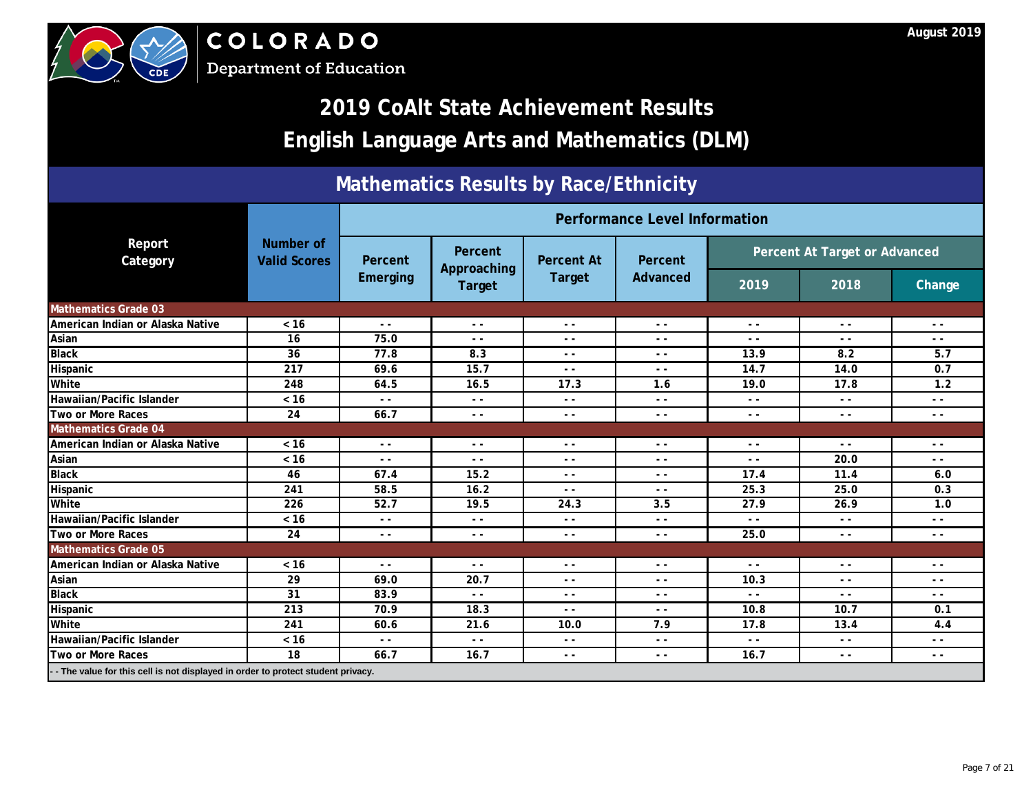|                                  |                                         |                                                                                                                                                                                                                                                                                                                                                                                              |                        |                                          | <b>Performance LeveNnformation</b> |                               |               |        |
|----------------------------------|-----------------------------------------|----------------------------------------------------------------------------------------------------------------------------------------------------------------------------------------------------------------------------------------------------------------------------------------------------------------------------------------------------------------------------------------------|------------------------|------------------------------------------|------------------------------------|-------------------------------|---------------|--------|
| Report<br>Category               | <b>Number of</b><br><b>Valid Scores</b> | Percent                                                                                                                                                                                                                                                                                                                                                                                      | Percent<br>Approaching | <b>Percent At</b>                        | Percent                            | Percent At Target or Advanced |               |        |
|                                  |                                         | Emerging                                                                                                                                                                                                                                                                                                                                                                                     | <b>Target</b>          | <b>Target</b>                            | Advanced                           | 2019                          | 2018          | Change |
| <b>Mathematics Grade 03</b>      |                                         |                                                                                                                                                                                                                                                                                                                                                                                              |                        |                                          |                                    |                               |               |        |
| American Indian or Alaska Native | $< 16$                                  | $ -$                                                                                                                                                                                                                                                                                                                                                                                         | $ -$                   |                                          | $ -$                               | - -                           | $ -$          | $ -$   |
| Asian                            | 16                                      | 75.0                                                                                                                                                                                                                                                                                                                                                                                         | $ -$                   | U                                        | $ -$                               | $ -$                          | $ -$          | $ -$   |
| <b>Black</b>                     | 36                                      | 77.8                                                                                                                                                                                                                                                                                                                                                                                         | 8.3                    |                                          | $ -$                               | 13.9                          | 8.2           | 5.7    |
| Hispanic                         | 217                                     | 69.6                                                                                                                                                                                                                                                                                                                                                                                         | 15.7                   | 2                                        | $\sim$ $\sim$                      | 14.7                          | 14.0          | 0.7    |
| White                            | 248                                     | 64.5                                                                                                                                                                                                                                                                                                                                                                                         | 16.5                   | 17.3                                     | 1.6                                | 19.0                          | 17.8          | 1.2    |
| Hawaiian/Pacific Islander        | $< 16$                                  | $ -$                                                                                                                                                                                                                                                                                                                                                                                         | $ -$                   | $ -$                                     | $ -$                               | - -                           | $ -$          | $ -$   |
| <b>Two or More Races</b>         | 24                                      | 66.7                                                                                                                                                                                                                                                                                                                                                                                         | $ -$                   | $ -$                                     | $ -$                               | $ -$                          | $ -$          | $ -$   |
| <b>Mathematics Grade 04</b>      |                                         |                                                                                                                                                                                                                                                                                                                                                                                              |                        |                                          |                                    |                               |               |        |
| American Indian or Alaska Native | $< 16$                                  | $\frac{1}{2} \frac{1}{2} \frac{1}{2} \frac{1}{2} \frac{1}{2} \frac{1}{2} \frac{1}{2} \frac{1}{2} \frac{1}{2} \frac{1}{2} \frac{1}{2} \frac{1}{2} \frac{1}{2} \frac{1}{2} \frac{1}{2} \frac{1}{2} \frac{1}{2} \frac{1}{2} \frac{1}{2} \frac{1}{2} \frac{1}{2} \frac{1}{2} \frac{1}{2} \frac{1}{2} \frac{1}{2} \frac{1}{2} \frac{1}{2} \frac{1}{2} \frac{1}{2} \frac{1}{2} \frac{1}{2} \frac{$ | $\rightarrow$          | $ -$                                     | $ -$                               | $ -$                          | $ -$          | $ -$   |
| Asian                            | $< 16$                                  | $ -$                                                                                                                                                                                                                                                                                                                                                                                         | $ -$                   | $ -$                                     | $ -$                               | $ -$                          | 20.0          | $ -$   |
| <b>Black</b>                     | 46                                      | 67.4                                                                                                                                                                                                                                                                                                                                                                                         | 15.2                   | $ -$                                     | $ -$                               | 17.4                          | 11.4          | 6.0    |
| Hispanic                         | 241                                     | 58.5                                                                                                                                                                                                                                                                                                                                                                                         | 16.2                   | $ -$                                     | $\sim$ $\sim$                      | 25.3                          | 25.0          | 0.3    |
| White                            | 226                                     | 52.7                                                                                                                                                                                                                                                                                                                                                                                         | 19.5                   | 24.3                                     | 3.5                                | 27.9                          | 26.9          | 1.0    |
| Hawaiian/Pacific Islander        | $< 16$                                  |                                                                                                                                                                                                                                                                                                                                                                                              | $ -$                   | $ -$                                     | $ -$                               | $ -$                          | $ -$          | $ -$   |
| <b>Two or More Races</b>         | 24                                      | $\rightarrow$                                                                                                                                                                                                                                                                                                                                                                                | $\frac{1}{2}$          | $ -$                                     | $\sim$ $\sim$                      | 25.0                          | $\sim$ $\sim$ | $ -$   |
| <b>Mathematics Grade 05</b>      |                                         |                                                                                                                                                                                                                                                                                                                                                                                              |                        |                                          |                                    |                               |               |        |
| American Indian or Alaska Native | $< 16$                                  | $ -$                                                                                                                                                                                                                                                                                                                                                                                         | $ -$                   | $ -$                                     | $ -$                               | $ -$                          | $ -$          | $ -$   |
| Asian                            | 29                                      | 69.0                                                                                                                                                                                                                                                                                                                                                                                         | 20.7                   | $ -$                                     | $\sim$ $\sim$                      | 10.3                          | $\sim$ $\sim$ | $ -$   |
| <b>Black</b>                     | 31                                      | 83.9                                                                                                                                                                                                                                                                                                                                                                                         | $ -$                   | $ -$                                     | $ -$                               | $ -$                          | $\sim$ $\sim$ | $ -$   |
| Hispanic                         | 213                                     | 70.9                                                                                                                                                                                                                                                                                                                                                                                         | 18.3                   | $\frac{1}{2} \left( \frac{1}{2} \right)$ | $\sim$ $\sim$                      | 10.8                          | 10.7          | 0.1    |
| White                            | 241                                     | 60.6                                                                                                                                                                                                                                                                                                                                                                                         | 21.6                   | 10.0                                     | 7.9                                | 17.8                          | 13.4          | 4.4    |
| Hawaiian/Pacific Islander        | $< 16$                                  | $ -$                                                                                                                                                                                                                                                                                                                                                                                         | $ -$                   | $ -$                                     | $\sim$ $\sim$                      | $\frac{1}{2}$                 | $ -$          | $ -$   |
| <b>Two or More Races</b>         | 18                                      | 66.7                                                                                                                                                                                                                                                                                                                                                                                         | 16.7                   | $ -$                                     | $\sim$ $\sim$                      | 16.7                          | $\sim$ $\sim$ | $ -$   |





## **2019 CoAlt State Achievement Results English Language Arts and Mathematics (DLM)**

### **Mathematics Results by Race/Ethnicity**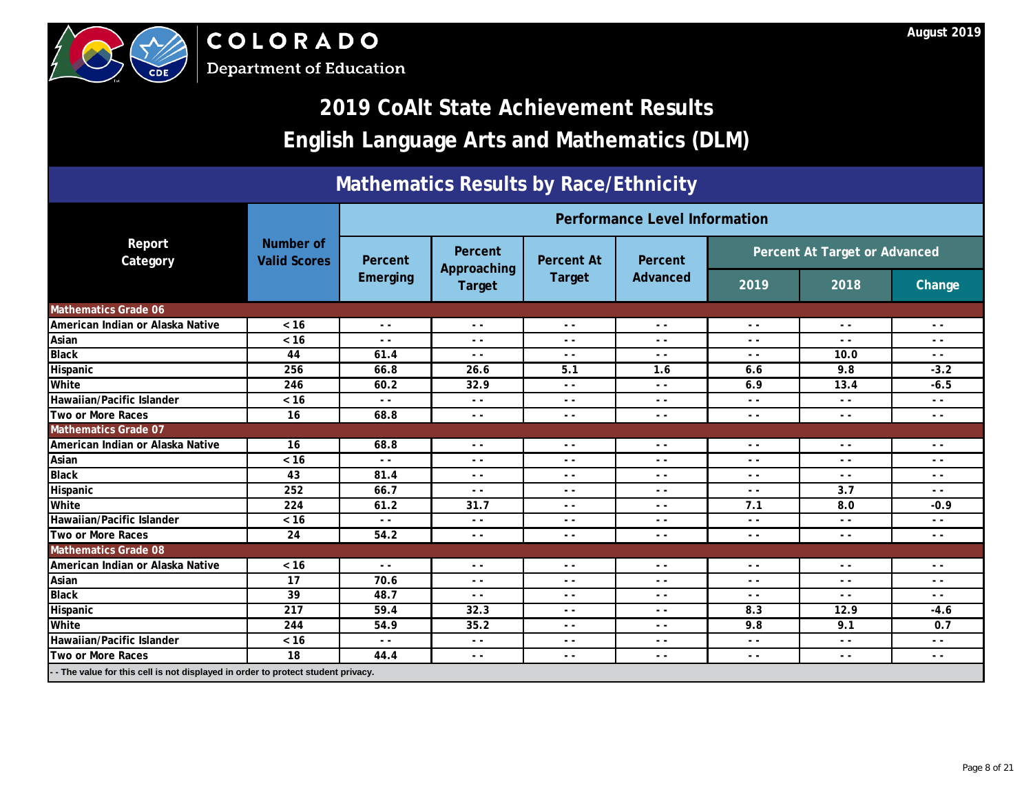



## **2019 CoAlt State Achievement Results English Language Arts and Mathematics (DLM)**

### **Mathematics Results by Race/Ethnicity**

|                                                                                   |                                  | <b>Performance LeveNnformation</b> |                                          |                                      |               |                               |                                                                                                                                                                                                                       |               |
|-----------------------------------------------------------------------------------|----------------------------------|------------------------------------|------------------------------------------|--------------------------------------|---------------|-------------------------------|-----------------------------------------------------------------------------------------------------------------------------------------------------------------------------------------------------------------------|---------------|
| Report<br>Category                                                                | Number of<br><b>Valid Scores</b> | Percent                            | Percent<br>Approaching                   | <b>Percent At</b>                    | Percent       | Percent At Target or Advanced |                                                                                                                                                                                                                       |               |
|                                                                                   |                                  | <b>Emerging</b>                    | <b>Target</b>                            | <b>Target</b>                        | Advanced      | 2019                          | 2018<br>$\sim$ $\sim$<br>$ -$<br>10.0<br>9.8<br>13.4<br>$ -$<br>$\sim$ $\sim$<br>$ -$<br>$ -$<br>$ -$<br>3.7<br>8.0<br>$ -$<br>$\sim$ $\sim$<br>$ -$<br>$ -$<br>$ -$<br>12.9<br>9.1<br>$\sim$ $\sim$<br>$\sim$ $\sim$ | <b>Change</b> |
| <b>Mathematics Grade 06</b>                                                       |                                  |                                    |                                          |                                      |               |                               |                                                                                                                                                                                                                       |               |
| American Indian or Alaska Native                                                  | $<16$                            | $\sim$ $\sim$                      | $\frac{1}{2} \left( \frac{1}{2} \right)$ | $\sim$<br>$\mathcal{C}_{1}$<br>$- -$ | $\sim$ $\sim$ | $ -$                          |                                                                                                                                                                                                                       | $ -$          |
| Asian                                                                             | $< 16$                           | $ -$                               | - -                                      |                                      | $ -$          | $ -$                          |                                                                                                                                                                                                                       | - -           |
| <b>Black</b>                                                                      | 44                               | 61.4                               | $ -$                                     |                                      | $ -$          | $ -$                          |                                                                                                                                                                                                                       | $ -$          |
| Hispanic                                                                          | 256                              | 66.8                               | 26.6                                     | 5.1                                  | 1.6           | 6.6                           |                                                                                                                                                                                                                       | $-3.2$        |
| White                                                                             | 246                              | 60.2                               | 32.9                                     | $ -$                                 | $\sim$ $\sim$ | 6.9                           |                                                                                                                                                                                                                       | $-6.5$        |
| Hawaiian/Pacific Islander                                                         | $< 16$                           | $ -$                               | $ -$                                     | $ -$                                 | $ -$          | $ -$                          |                                                                                                                                                                                                                       | - -           |
| Two or More Races                                                                 | 16                               | 68.8                               | $ -$                                     | $\sim$ $\sim$                        | $ -$          | $ -$                          |                                                                                                                                                                                                                       | $ -$          |
| <b>Mathematics Grade 07</b>                                                       |                                  |                                    |                                          |                                      |               |                               |                                                                                                                                                                                                                       |               |
| American Indian or Alaska Native                                                  | 16                               | 68.8                               | . – J                                    | $ -$                                 | $ -$          | $ -$                          |                                                                                                                                                                                                                       | $ -$          |
| Asian                                                                             | $< 16$                           | $ -$                               | $ -$                                     | $ -$                                 | $ -$          | $ -$                          |                                                                                                                                                                                                                       | $ -$          |
| <b>Black</b>                                                                      | 43                               | 81.4                               | $ -$                                     | $\sim$ $\sim$                        | $ -$          | $ -$                          |                                                                                                                                                                                                                       | $ -$          |
| Hispanic                                                                          | 252                              | 66.7                               | $\frac{1}{2} \left( \frac{1}{2} \right)$ | $ -$                                 | $ -$          | $ -$                          |                                                                                                                                                                                                                       | $ -$          |
| White                                                                             | 224                              | 61.2                               | 31.7                                     | $ -$                                 | $ -$          | 7.1                           |                                                                                                                                                                                                                       | $-0.9$        |
| Hawaiian/Pacific Islander                                                         | $< 16$                           |                                    | $ -$                                     | $ -$                                 | $ -$          | $ -$                          |                                                                                                                                                                                                                       | $ -$          |
| Two or More Races                                                                 | 24                               | 54.2                               | $\frac{1}{2} \left( \frac{1}{2} \right)$ | $ -$                                 | $ -$          | $ -$                          |                                                                                                                                                                                                                       | $ -$          |
| <b>Mathematics Grade 08</b>                                                       |                                  |                                    |                                          |                                      |               |                               |                                                                                                                                                                                                                       |               |
| American Indian or Alaska Native                                                  | $< 16$                           | $\sim$ $\sim$                      | $\frac{1}{2} \left( \frac{1}{2} \right)$ | $\sim$ $\sim$                        | $ -$          | $ -$                          |                                                                                                                                                                                                                       | $ -$          |
| Asian                                                                             | 17                               | 70.6                               | $- -$                                    | $ -$                                 | $- -$         | $ -$                          |                                                                                                                                                                                                                       | $ -$          |
| <b>Black</b>                                                                      | 39                               | 48.7                               | $ -$                                     | $- -$                                | $ -$          | $ -$                          |                                                                                                                                                                                                                       | $ -$          |
| Hispanic                                                                          | 217                              | 59.4                               | 32.3                                     | $- -$                                | $\sim$ $\sim$ | 8.3                           |                                                                                                                                                                                                                       | $-4.6$        |
| White                                                                             | 244                              | 54.9                               | 35.2                                     | $\sim$ $\sim$                        | $ -$          | 9.8                           |                                                                                                                                                                                                                       | 0.7           |
| Hawaiian/Pacific Islander                                                         | $< 16$                           | $ -$                               | $ -$                                     | $- -$                                | $ -$          | $ -$                          |                                                                                                                                                                                                                       | $ -$          |
| Two or More Races                                                                 | 18                               | 44.4                               | $ -$                                     | $\sim$ $\sim$                        | $ -$          | $\sim$ $\sim$                 |                                                                                                                                                                                                                       | $ -$          |
| - - The value for this cell is not displayed in order to protect student privacy. |                                  |                                    |                                          |                                      |               |                               |                                                                                                                                                                                                                       |               |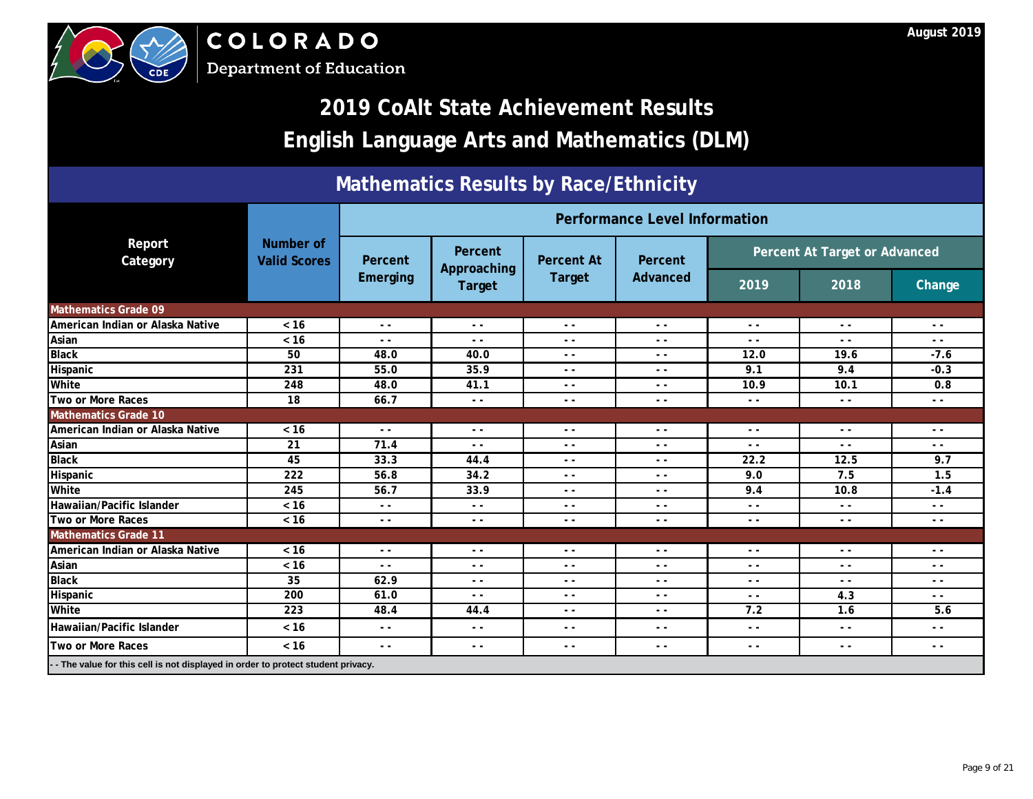



## **2019 CoAlt State Achievement Results English Language Arts and Mathematics (DLM)**

### **Mathematics Results by Race/Ethnicity**

|                                                                                   |                                         |                 |                        |                                    | <b>Performance LeveNnformation</b> |                               |               |               |
|-----------------------------------------------------------------------------------|-----------------------------------------|-----------------|------------------------|------------------------------------|------------------------------------|-------------------------------|---------------|---------------|
| Report<br>Category                                                                | <b>Number of</b><br><b>Valid Scores</b> | Percent         | Percent<br>Approaching | <b>Percent At</b><br><b>Target</b> | Percent                            | Percent At Target or Advanced |               |               |
|                                                                                   |                                         | <b>Emerging</b> | <b>Target</b>          |                                    | <b>Advanced</b>                    | 2019                          | 2018          | <b>Change</b> |
| <b>Mathematics Grade 09</b>                                                       |                                         |                 |                        |                                    |                                    |                               |               |               |
| American Indian or Alaska Native                                                  | < 16                                    | $ -$            | $ -$                   |                                    | $ -$                               | $ -$                          | $\sim$ $\sim$ | $ -$          |
| Asian                                                                             | $< 16$                                  | $\sim$ $\sim$   | $ -$                   |                                    | $ -$                               | $ -$                          | $ -$          | $ -$          |
| <b>Black</b>                                                                      | 50                                      | 48.0            | 40.0                   |                                    | $- -$                              | 12.0                          | 19.6          | $-7.6$        |
| Hispanic                                                                          | 231                                     | 55.0            | 35.9                   | $\mathbf{z}$                       | $\sim$ $\sim$                      | 9.1                           | 9.4           | $-0.3$        |
| White                                                                             | 248                                     | 48.0            | 41.1                   | $ -$                               | $ -$                               | 10.9                          | 10.1          | 0.8           |
| <b>Two or More Races</b>                                                          | 18                                      | 66.7            | $ -$                   | $ -$                               | $ -$                               | $ -$                          | $\sim$ $\sim$ | $ -$          |
| <b>Mathematics Grade 10</b>                                                       |                                         |                 |                        |                                    |                                    |                               |               |               |
| American Indian or Alaska Native                                                  | $< 16$                                  | $\sim$ $\sim$   | X<br>╲                 | $ -$                               | $ -$                               | - -                           | $ -$          | $ -$          |
| Asian                                                                             | 21                                      | 71.4            | $ \frac{1}{2}$         | $ -$                               | $ -$                               | $ -$                          |               | $ -$          |
| <b>Black</b>                                                                      | 45                                      | 33.3            | 44.4                   | $ -$                               | $\sim$ $\sim$                      | 22.2                          | 12.5          | 9.7           |
| Hispanic                                                                          | 222                                     | 56.8            | 34.2                   | $ -$                               | $\sim$ $\sim$                      | 9.0                           | 7.5           | 1.5           |
| White                                                                             | 245                                     | 56.7            | 33.9                   | $ -$                               | $ -$                               | 9.4                           | 10.8          | $-1.4$        |
| Hawaiian/Pacific Islander                                                         | $< 16$                                  | $ -$            | $ -$                   | $ -$                               | $\sim$ $\sim$                      | $ -$                          | $\sim$ $\sim$ | $ -$          |
| Two or More Races                                                                 | < 16                                    |                 | $\sim$ $\sim$          | $- -$                              | $ -$                               | $ -$                          | $ -$          | $ -$          |
| <b>Mathematics Grade 11</b>                                                       |                                         |                 |                        |                                    |                                    |                               |               |               |
| American Indian or Alaska Native                                                  | $< 16$                                  |                 | $ -$                   | $ -$                               | $ -$                               | $ -$                          | $ -$          | $ -$          |
| Asian                                                                             | $< 16$                                  | $ -$            | $ -$                   | $ -$                               | $ -$                               | $ -$                          | $ -$          | $ -$          |
| <b>Black</b>                                                                      | 35                                      | 62.9            | $ -$                   | $ -$                               | $ -$                               | $ -$                          | $\sim$ $\sim$ | $ -$          |
| Hispanic                                                                          | 200                                     | 61.0            | $ -$                   | $ -$                               | $ -$                               | $ -$                          | 4.3           | $ -$          |
| White                                                                             | 223                                     | 48.4            | 44.4                   | $ -$                               | $ -$                               | 7.2                           | 1.6           | 5.6           |
| Hawaiian/Pacific Islander                                                         | < 16                                    | $ -$            | $ -$                   | $ -$                               | $ -$                               | - -                           | $\sim$ $\sim$ | $ -$          |
| <b>Two or More Races</b>                                                          | $< 16$                                  | $\sim$ $\sim$   | $\sim$ $\sim$          | $ -$                               | $ -$                               | $\sim$ $\sim$                 | $ -$          | $ -$          |
| - - The value for this cell is not displayed in order to protect student privacy. |                                         |                 |                        |                                    |                                    |                               |               |               |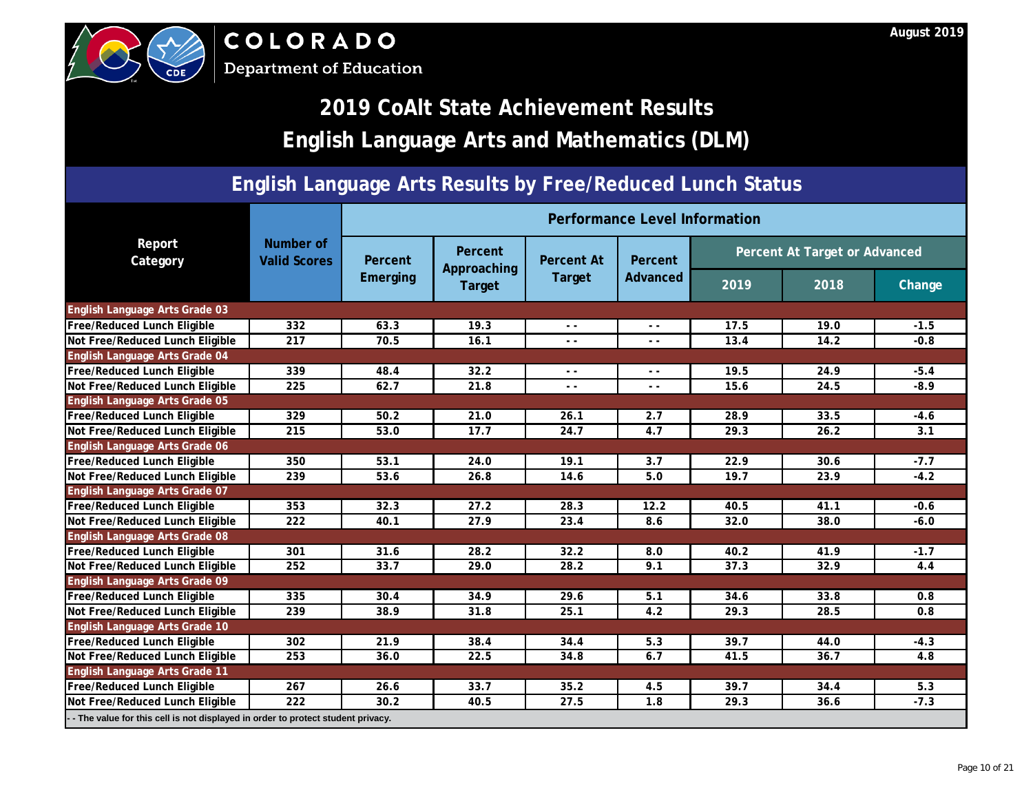



**Department of Education** 

|                                                                                 |                                  |                   |                        |                          | Performance Level Information |      |                               |        |
|---------------------------------------------------------------------------------|----------------------------------|-------------------|------------------------|--------------------------|-------------------------------|------|-------------------------------|--------|
| Report<br>Category                                                              | Number of<br><b>Valid Scores</b> | <b>Percent</b>    | Percent<br>Approaching | <b>Percent At</b>        | Percent                       |      | Percent At Target or Advanced |        |
|                                                                                 |                                  | <b>Emerging</b>   | Target                 | <b>Target</b>            | Advanced                      | 2019 | 2018                          | Change |
| <b>English Language Arts Grade 03</b>                                           |                                  |                   |                        |                          |                               |      |                               |        |
| <b>Free/Reduced Lunch Eligible</b>                                              | 332                              | 63.3              | 19.3                   | $ -$                     | $ -$                          | 17.5 | 19.0                          | $-1.5$ |
| Not Free/Reduced Lunch Eligible                                                 | 217                              | 70.5              | 16.1                   | $\blacktriangle$         | $ -$                          | 13.4 | 14.2                          | $-0.8$ |
| English Language Arts Grade 04                                                  |                                  |                   |                        |                          |                               |      |                               |        |
| <b>Free/Reduced Lunch Eligible</b>                                              | 339                              | 48.4              | 32.2                   | $\overline{\mathcal{L}}$ | $ -$                          | 19.5 | 24.9                          | $-5.4$ |
| Not Free/Reduced Lunch Eligible                                                 | 225                              | 62.7              | 21.8                   | $ -$                     | $ -$                          | 15.6 | 24.5                          | $-8.9$ |
| <b>English Language Arts Grade 05</b>                                           |                                  |                   |                        |                          |                               |      |                               |        |
| Free/Reduced Lunch Eligible                                                     | 329                              | 50.2              | 21.0                   | 26.1                     | 2.7                           | 28.9 | 33.5                          | $-4.6$ |
| Not Free/Reduced Lunch Eligible                                                 | 215                              | 53.0              | 17.7                   | 24.7                     | 4.7                           | 29.3 | 26.2                          | 3.1    |
| English Language Arts Grade 06                                                  |                                  |                   |                        |                          |                               |      |                               |        |
| <b>Free/Reduced Lunch Eligible</b>                                              | 350                              | 53.1              | 24.0                   | 19.1                     | 3.7                           | 22.9 | 30.6                          | $-7.7$ |
| Not Free/Reduced Lunch Eligible                                                 | 239                              | 53.6              | 26.8                   | 14.6                     | 5.0                           | 19.7 | 23.9                          | $-4.2$ |
| English Language Arts Grade 07                                                  |                                  |                   |                        |                          |                               |      |                               |        |
| <b>Free/Reduced Lunch Eligible</b>                                              | 353                              | 32.3              | 27.2                   | 28.3                     | 12.2                          | 40.5 | 41.1                          | $-0.6$ |
| Not Free/Reduced Lunch Eligible                                                 | 222                              | 40.1              | 27.9                   | 23.4                     | 8.6                           | 32.0 | 38.0                          | $-6.0$ |
| English Language Arts Grade 08                                                  |                                  |                   |                        |                          |                               |      |                               |        |
| <b>Free/Reduced Lunch Eligible</b>                                              | 301                              | $\overline{31.6}$ | 28.2                   | 32.2                     | 8.0                           | 40.2 | 41.9                          | $-1.7$ |
| Not Free/Reduced Lunch Eligible                                                 | 252                              | 33.7              | 29.0                   | 28.2                     | 9.1                           | 37.3 | 32.9                          | 4.4    |
| English Language Arts Grade 09                                                  |                                  |                   |                        |                          |                               |      |                               |        |
| <b>Free/Reduced Lunch Eligible</b>                                              | 335                              | 30.4              | 34.9                   | 29.6                     | 5.1                           | 34.6 | 33.8                          | 0.8    |
| Not Free/Reduced Lunch Eligible                                                 | 239                              | 38.9              | 31.8                   | 25.1                     | 4.2                           | 29.3 | 28.5                          | 0.8    |
| <b>English Language Arts Grade 10</b>                                           |                                  |                   |                        |                          |                               |      |                               |        |
| <b>Free/Reduced Lunch Eligible</b>                                              | 302                              | 21.9              | 38.4                   | 34.4                     | 5.3                           | 39.7 | 44.0                          | $-4.3$ |
| Not Free/Reduced Lunch Eligible                                                 | 253                              | 36.0              | 22.5                   | 34.8                     | 6.7                           | 41.5 | 36.7                          | 4.8    |
| English Language Arts Grade 11                                                  |                                  |                   |                        |                          |                               |      |                               |        |
| <b>Free/Reduced Lunch Eligible</b>                                              | 267                              | 26.6              | 33.7                   | 35.2                     | 4.5                           | 39.7 | 34.4                          | 5.3    |
| Not Free/Reduced Lunch Eligible                                                 | 222                              | 30.2              | 40.5                   | 27.5                     | 1.8                           | 29.3 | 36.6                          | $-7.3$ |
| - The value for this cell is not displayed in order to protect student privacy. |                                  |                   |                        |                          |                               |      |                               |        |

### **August 2019**

## **2019 CoAlt State Achievement Results English Language Arts and Mathematics (DLM)**

### **English Language Arts Results by Free/Reduced Lunch Status**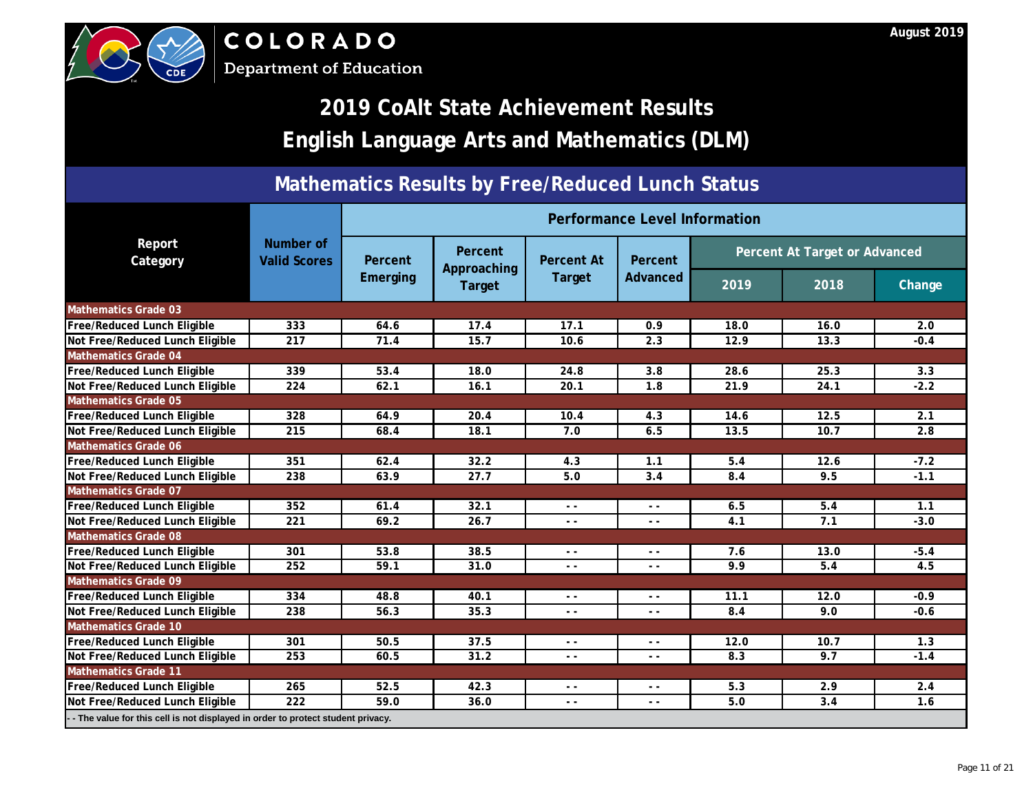

COLORADO

**Department of Education** 

|                                                                                  |                                  |                 |                               |                   | Performance Level Information |      |                               |        |
|----------------------------------------------------------------------------------|----------------------------------|-----------------|-------------------------------|-------------------|-------------------------------|------|-------------------------------|--------|
| Report<br>Category                                                               | Number of<br><b>Valid Scores</b> | Percent         | <b>Percent</b><br>Approaching | <b>Percent At</b> | Percent                       |      | Percent At Target or Advanced |        |
|                                                                                  |                                  | <b>Emerging</b> | Target                        | <b>Target</b>     | Advanced                      | 2019 | 2018                          | Change |
| <b>Mathematics Grade 03</b>                                                      |                                  |                 |                               |                   |                               |      |                               |        |
| <b>Free/Reduced Lunch Eligible</b>                                               | 333                              | 64.6            | 17.4                          | 17.1              | 0.9                           | 18.0 | 16.0                          | 2.0    |
| Not Free/Reduced Lunch Eligible                                                  | 217                              | 71.4            | 15.7                          | 10.6.             | 2.3                           | 12.9 | 13.3                          | $-0.4$ |
| <b>Mathematics Grade 04</b>                                                      |                                  |                 |                               |                   |                               |      |                               |        |
| <b>Free/Reduced Lunch Eligible</b>                                               | 339                              | 53.4            | 18.0                          | 24.8              | 3.8                           | 28.6 | 25.3                          | 3.3    |
| Not Free/Reduced Lunch Eligible                                                  | 224                              | 62.1            | 16.1                          | 20.1              | 1.8                           | 21.9 | 24.1                          | $-2.2$ |
| <b>Mathematics Grade 05</b>                                                      |                                  |                 |                               |                   |                               |      |                               |        |
| <b>Free/Reduced Lunch Eligible</b>                                               | 328                              | 64.9            | $20.4^*$                      | 10.4              | 4.3                           | 14.6 | 12.5                          | 2.1    |
| Not Free/Reduced Lunch Eligible                                                  | 215                              | 68.4            | 18.1                          | 7.0               | 6.5                           | 13.5 | 10.7                          | 2.8    |
| <b>Mathematics Grade 06</b>                                                      |                                  |                 |                               |                   |                               |      |                               |        |
| <b>Free/Reduced Lunch Eligible</b>                                               | 351                              | 62.4            | 32.2                          | 4.3               | 1.1                           | 5.4  | 12.6                          | $-7.2$ |
| Not Free/Reduced Lunch Eligible                                                  | 238                              | 63.9            | 27.7                          | 5.0               | 3.4                           | 8.4  | 9.5                           | $-1.1$ |
| <b>Mathematics Grade 07</b>                                                      |                                  |                 |                               |                   |                               |      |                               |        |
| Free/Reduced Lunch Eligible                                                      | 352                              | 61.4            | 32.1                          | $ -$              | $\sim$ $\sim$                 | 6.5  | 5.4                           | 1.1    |
| Not Free/Reduced Lunch Eligible                                                  | 221                              | 69.2            | 26.7                          | $- -$             | $ -$                          | 4.1  | 7.1                           | $-3.0$ |
| <b>Mathematics Grade 08</b>                                                      |                                  |                 |                               |                   |                               |      |                               |        |
| <b>Free/Reduced Lunch Eligible</b>                                               | 301                              | 53.8            | 38.5                          | $ -$              | $ -$                          | 7.6  | 13.0                          | $-5.4$ |
| Not Free/Reduced Lunch Eligible                                                  | 252                              | 59.1            | 31.0                          | $ -$              | $ -$                          | 9.9  | 5.4                           | 4.5    |
| <b>Mathematics Grade 09</b>                                                      |                                  |                 |                               |                   |                               |      |                               |        |
| <b>Free/Reduced Lunch Eligible</b>                                               | 334                              | 48.8            | 40.1                          | $ -$              | $ -$                          | 11.1 | 12.0                          | $-0.9$ |
| Not Free/Reduced Lunch Eligible                                                  | 238                              | 56.3            | 35.3                          | $\sim$ $\sim$     | $ -$                          | 8.4  | 9.0                           | $-0.6$ |
| <b>Mathematics Grade 10</b>                                                      |                                  |                 |                               |                   |                               |      |                               |        |
| Free/Reduced Lunch Eligible                                                      | 301                              | 50.5            | 37.5                          | $\sim$ $\sim$     | $ -$                          | 12.0 | 10.7                          | 1.3    |
| Not Free/Reduced Lunch Eligible                                                  | 253                              | 60.5            | 31.2                          | $\sim$ $\sim$     | $- -$                         | 8.3  | 9.7                           | $-1.4$ |
| <b>Mathematics Grade 11</b>                                                      |                                  |                 |                               |                   |                               |      |                               |        |
| <b>Free/Reduced Lunch Eligible</b>                                               | 265                              | 52.5            | 42.3                          | $ -$              | $ -$                          | 5.3  | 2.9                           | 2.4    |
| Not Free/Reduced Lunch Eligible                                                  | 222                              | 59.0            | 36.0                          | $- -$             | $ -$                          | 5.0  | 3.4                           | 1.6    |
| -- The value for this cell is not displayed in order to protect student privacy. |                                  |                 |                               |                   |                               |      |                               |        |

### **August 2019**

## **2019 CoAlt State Achievement Results English Language Arts and Mathematics (DLM)**

### **Mathematics Results by Free/Reduced Lunch Status**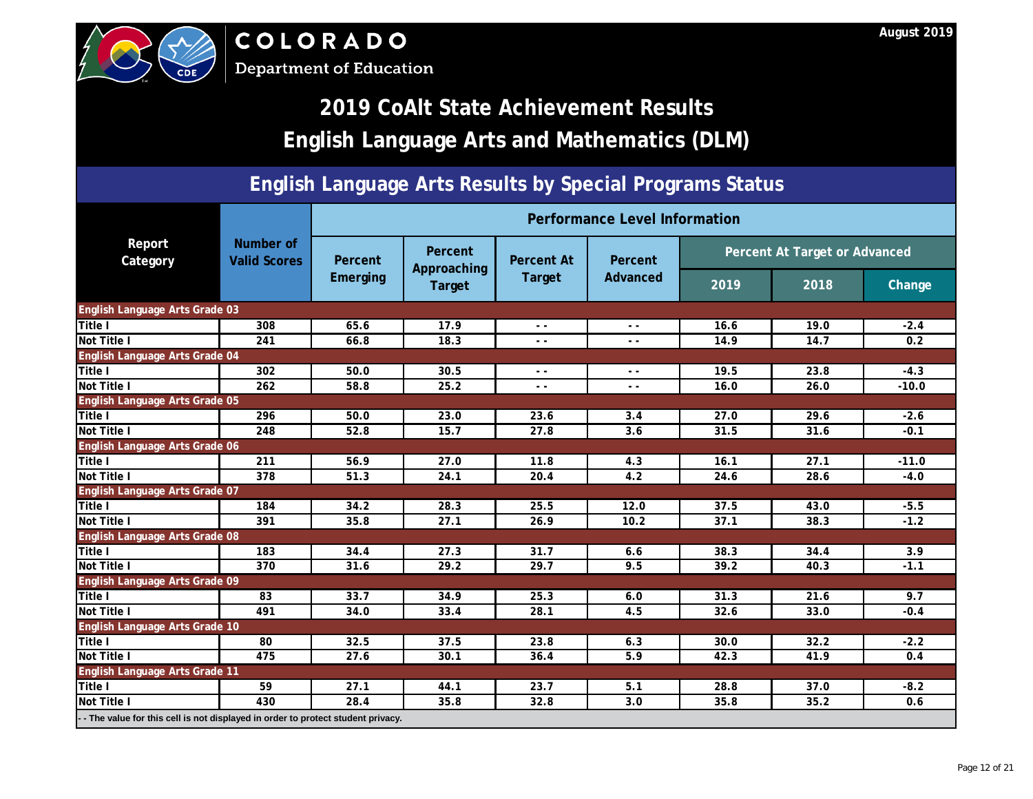| <b>CDE</b>                                                                      |                                                                                                   | COLORADO<br><b>Department of Education</b> |                                                                                         |        |                               |      |      | August 2019 |  |  |  |  |  |
|---------------------------------------------------------------------------------|---------------------------------------------------------------------------------------------------|--------------------------------------------|-----------------------------------------------------------------------------------------|--------|-------------------------------|------|------|-------------|--|--|--|--|--|
|                                                                                 | <b>2019 CoAlt State Achievement Results</b><br><b>English Language Arts and Mathematics (DLM)</b> |                                            |                                                                                         |        |                               |      |      |             |  |  |  |  |  |
| <b>English Language Arts Results by Special Programs Status</b>                 |                                                                                                   |                                            |                                                                                         |        |                               |      |      |             |  |  |  |  |  |
|                                                                                 |                                                                                                   |                                            |                                                                                         |        | Performance Level Information |      |      |             |  |  |  |  |  |
| Report<br>Category                                                              | Number of<br><b>Valid Scores</b>                                                                  | Percent                                    | Percent At Target or Advanced<br>Percent<br>Percent<br><b>Percent At</b><br>Approaching |        |                               |      |      |             |  |  |  |  |  |
|                                                                                 |                                                                                                   | <b>Emerging</b>                            | Target                                                                                  | Target | Advanced                      | 2019 | 2018 | Change      |  |  |  |  |  |
| English Language Arts Grade 03                                                  |                                                                                                   |                                            |                                                                                         |        |                               |      |      |             |  |  |  |  |  |
| Title I                                                                         | 308                                                                                               | 65.6                                       | 17.9                                                                                    | $ -$   | $ -$                          | 16.6 | 19.0 | $-2.4$      |  |  |  |  |  |
| <b>Not Title I</b>                                                              | 241                                                                                               | 66.8                                       | 18.3                                                                                    | $ -$   |                               | 14.9 | 14.7 | 0.2         |  |  |  |  |  |
| English Language Arts Grade 04                                                  |                                                                                                   |                                            |                                                                                         |        |                               |      |      |             |  |  |  |  |  |
| Title I                                                                         | 302                                                                                               | 50.0                                       | 30.5                                                                                    |        | $ -$                          | 19.5 | 23.8 | $-4.3$      |  |  |  |  |  |
| Not Title I                                                                     | 262                                                                                               | 58.8                                       | 25.2                                                                                    |        | $ -$                          | 16.0 | 26.0 | $-10.0$     |  |  |  |  |  |
| English Language Arts Grade 05                                                  |                                                                                                   |                                            |                                                                                         |        |                               |      |      |             |  |  |  |  |  |
| Title I                                                                         | 296                                                                                               | 50.0                                       | 23.0                                                                                    | 23.6   | 3.4                           | 27.0 | 29.6 | $-2.6$      |  |  |  |  |  |
| Not Title I                                                                     | 248                                                                                               | 52.8                                       | 15.7                                                                                    | 27.8   | 3.6                           | 31.5 | 31.6 | $-0.1$      |  |  |  |  |  |
| <b>English Language Arts Grade 06</b>                                           |                                                                                                   |                                            |                                                                                         |        |                               |      |      |             |  |  |  |  |  |
| Title I                                                                         | 211                                                                                               | 56.9                                       | 27.0                                                                                    | 11.8   | 4.3                           | 16.1 | 27.1 | $-11.0$     |  |  |  |  |  |
| Not Title I                                                                     | 378                                                                                               | 51.3                                       | 241                                                                                     | 20.4   | 4.2                           | 24.6 | 28.6 | $-4.0$      |  |  |  |  |  |
| English Language Arts Grade 07                                                  | 184                                                                                               |                                            |                                                                                         | 25.5   | 12.0                          | 37.5 | 43.0 | $-5.5$      |  |  |  |  |  |
| Title I<br>Not Title I                                                          | 391                                                                                               | 34.2<br>35.8                               | 28.3<br>27.1                                                                            | 26.9   | 10.2                          | 37.1 | 38.3 | $-1.2$      |  |  |  |  |  |
| English Language Arts Grade 08                                                  |                                                                                                   |                                            |                                                                                         |        |                               |      |      |             |  |  |  |  |  |
| Title I                                                                         | 183                                                                                               | 34.4                                       | 27.3                                                                                    | 31.7   | 6.6                           | 38.3 | 34.4 | 3.9         |  |  |  |  |  |
| Not Title I                                                                     | 370                                                                                               | (31.6)                                     | 29.2                                                                                    | 29.7   | 9.5                           | 39.2 | 40.3 | $-1.1$      |  |  |  |  |  |
| English Language Arts Grade 09                                                  |                                                                                                   |                                            |                                                                                         |        |                               |      |      |             |  |  |  |  |  |
| <b>Title I</b>                                                                  | 83                                                                                                | 33.7                                       | 34.9                                                                                    | 25.3   | 6.0                           | 31.3 | 21.6 | 9.7         |  |  |  |  |  |
| Not Title I                                                                     | 491                                                                                               | 34.0                                       | 33.4                                                                                    | 28.1   | 4.5                           | 32.6 | 33.0 | $-0.4$      |  |  |  |  |  |
| English Language Arts Grade 10                                                  |                                                                                                   |                                            |                                                                                         |        |                               |      |      |             |  |  |  |  |  |
| Title I                                                                         | 80                                                                                                | 32.5                                       | 37.5                                                                                    | 23.8   | 6.3                           | 30.0 | 32.2 | $-2.2$      |  |  |  |  |  |
| <b>Not Title I</b>                                                              | 475                                                                                               | 27.6                                       | 30.1                                                                                    | 36.4   | 5.9                           | 42.3 | 41.9 | 0.4         |  |  |  |  |  |
| <b>English Language Arts Grade 11</b>                                           |                                                                                                   |                                            |                                                                                         |        |                               |      |      |             |  |  |  |  |  |
| Title I                                                                         | 59                                                                                                | 27.1                                       | 44.1                                                                                    | 23.7   | 5.1                           | 28.8 | 37.0 | $-8.2$      |  |  |  |  |  |
| <b>Not Title I</b>                                                              | 430                                                                                               | 28.4                                       | 35.8                                                                                    | 32.8   | 3.0                           | 35.8 | 35.2 | 0.6         |  |  |  |  |  |
| - The value for this cell is not displayed in order to protect student privacy. |                                                                                                   |                                            |                                                                                         |        |                               |      |      |             |  |  |  |  |  |



# **2019 CoAlt State Achievement Results**

### **English Language Arts Results by Special Programs Status**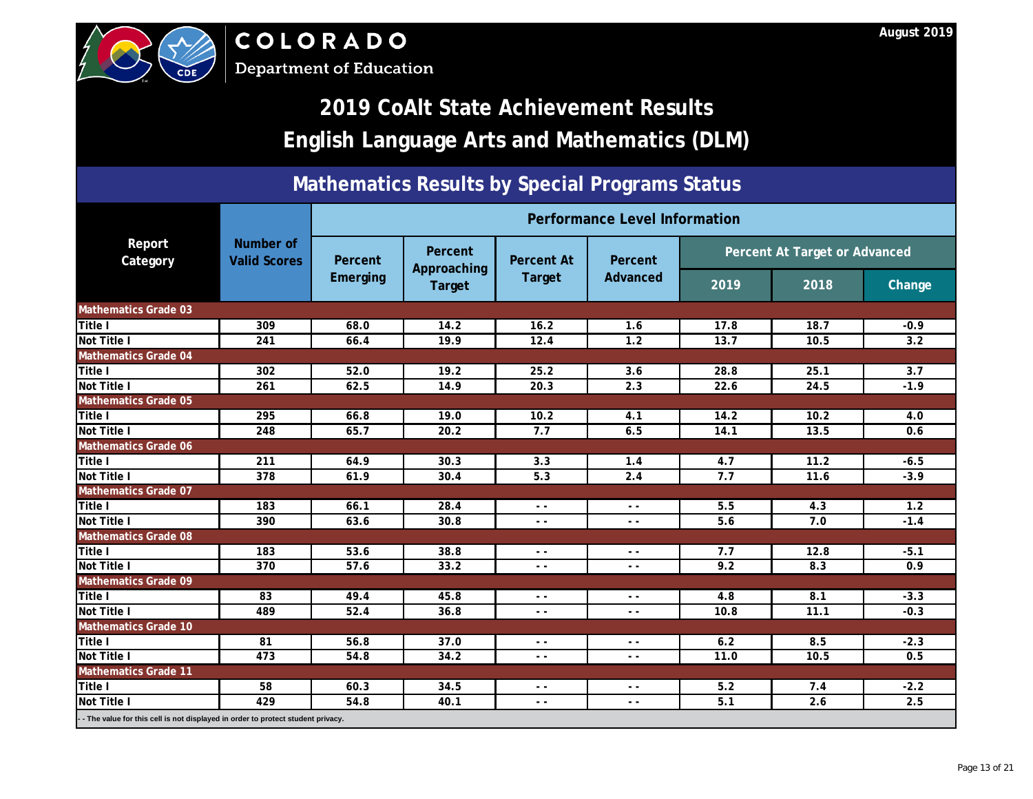| <b>CDE</b>                                                                        | August 2019<br>COLORADO<br><b>Department of Education</b> |                 |                                                                                                |               |                                                                                            |      |      |               |  |  |  |
|-----------------------------------------------------------------------------------|-----------------------------------------------------------|-----------------|------------------------------------------------------------------------------------------------|---------------|--------------------------------------------------------------------------------------------|------|------|---------------|--|--|--|
|                                                                                   |                                                           |                 |                                                                                                |               | 2019 CoAlt State Achievement Results<br><b>English Language Arts and Mathematics (DLM)</b> |      |      |               |  |  |  |
| <b>Mathematics Results by Special Programs Status</b>                             |                                                           |                 |                                                                                                |               |                                                                                            |      |      |               |  |  |  |
|                                                                                   |                                                           |                 |                                                                                                |               | Performance Level Information                                                              |      |      |               |  |  |  |
| Report<br>Category                                                                | Number of<br><b>Valid Scores</b>                          | Percent         | <b>Percent</b><br>Percent At Target or Advanced<br>Percent<br><b>Percent At</b><br>Approaching |               |                                                                                            |      |      |               |  |  |  |
|                                                                                   |                                                           | <b>Emerging</b> | Target                                                                                         | Target        | Advanced                                                                                   | 2019 | 2018 | <b>Change</b> |  |  |  |
| <b>Mathematics Grade 03</b>                                                       |                                                           |                 |                                                                                                |               |                                                                                            |      |      |               |  |  |  |
| Title I                                                                           | 309                                                       | 68.0            | 14.2                                                                                           | 16.2          | 1.6                                                                                        | 17.8 | 18.7 | $-0.9$        |  |  |  |
| Not Title I                                                                       | 241                                                       | 66.4            | 19.9                                                                                           | 12.4          | 1.2                                                                                        | 13.7 | 10.5 | 3.2           |  |  |  |
| <b>Mathematics Grade 04</b>                                                       |                                                           |                 |                                                                                                |               |                                                                                            |      |      |               |  |  |  |
| Title I                                                                           | 302                                                       | 52.0            | 19.2                                                                                           | 25.2          | 3.6                                                                                        | 28.8 | 25.1 | 3.7           |  |  |  |
| <b>Not Title I</b>                                                                | 261                                                       | 62.5            | 14.9                                                                                           | 20.3          | 2.3                                                                                        | 22.6 | 24.5 | $-1.9$        |  |  |  |
| <b>Mathematics Grade 05</b>                                                       |                                                           |                 |                                                                                                |               |                                                                                            |      |      |               |  |  |  |
| Title I                                                                           | 295                                                       | 66.8            | 19.0                                                                                           | 10.2          | 4.1                                                                                        | 14.2 | 10.2 | 4.0           |  |  |  |
| Not Title I                                                                       | 248                                                       | 65.7            | 20.2                                                                                           | 7.7           | 6.5                                                                                        | 14.1 | 13.5 | 0.6           |  |  |  |
| <b>Mathematics Grade 06</b>                                                       |                                                           |                 |                                                                                                |               |                                                                                            |      |      |               |  |  |  |
| <b>Title I</b>                                                                    | 211                                                       | 64.9            | 30.3                                                                                           | 3.3           | 1.4                                                                                        | 4.7  | 11.2 | $-6.5$        |  |  |  |
| Not Title I                                                                       | 378                                                       | 61.9            | 30.4                                                                                           | 5.3           | 2.4                                                                                        | 7.7  | 11.6 | $-3.9$        |  |  |  |
| <b>Mathematics Grade 07</b>                                                       |                                                           |                 |                                                                                                |               |                                                                                            |      |      |               |  |  |  |
| Title I                                                                           | 183                                                       | 66.1            | 28.4                                                                                           | $ -$          | $ -$                                                                                       | 5.5  | 4.3  | 1.2           |  |  |  |
| Not Title I                                                                       | 390                                                       | 63.6            | 30.8                                                                                           | $\sim$ $\sim$ | $\sim$ $\sim$                                                                              | 5.6  | 7.0  | $-1.4$        |  |  |  |
| <b>Mathematics Grade 08</b>                                                       |                                                           |                 |                                                                                                |               |                                                                                            |      |      |               |  |  |  |
| Title I                                                                           | 183                                                       | 53.6            | 38.8                                                                                           | $\sim$ $\sim$ | $ -$                                                                                       | 7.7  | 12.8 | $-5.1$        |  |  |  |
| Not Title I                                                                       | 370                                                       | (57.6)          | 33.2                                                                                           | $\sim$ $\sim$ | $ -$                                                                                       | 9.2  | 8.3  | 0.9           |  |  |  |
| <b>Mathematics Grade 09</b>                                                       |                                                           |                 |                                                                                                |               |                                                                                            |      |      |               |  |  |  |
| <b>Title I</b>                                                                    | 83                                                        | 49.4            | 45.8                                                                                           | $\sim$ $\sim$ | $ -$                                                                                       | 4.8  | 8.1  | $-3.3$        |  |  |  |
| <b>Not Title I</b>                                                                | 489                                                       | 52.4            | 36.8                                                                                           | $\sim$ $\sim$ | $ -$                                                                                       | 10.8 | 11.1 | $-0.3$        |  |  |  |
| <b>Mathematics Grade 10</b>                                                       |                                                           |                 |                                                                                                |               |                                                                                            |      |      |               |  |  |  |
| Title I                                                                           | 81                                                        | 56.8            | 37.0                                                                                           | $\sim$ $\sim$ | $ -$                                                                                       | 6.2  | 8.5  | $-2.3$        |  |  |  |
| <b>Not Title I</b>                                                                | 473                                                       | 54.8            | 34.2                                                                                           | $\sim$ $\sim$ | $- -$                                                                                      | 11.0 | 10.5 | 0.5           |  |  |  |
| <b>Mathematics Grade 11</b>                                                       |                                                           |                 |                                                                                                |               |                                                                                            |      |      |               |  |  |  |
| Title I                                                                           | 58                                                        | 60.3            | 34.5                                                                                           | $ -$          | $ -$                                                                                       | 5.2  | 7.4  | $-2.2$        |  |  |  |
| <b>Not Title I</b>                                                                | 429                                                       | 54.8            | 40.1                                                                                           | $\sim$ $\sim$ | $ -$                                                                                       | 5.1  | 2.6  | 2.5           |  |  |  |
| - - The value for this cell is not displayed in order to protect student privacy. |                                                           |                 |                                                                                                |               |                                                                                            |      |      |               |  |  |  |



# **2019 CoAlt State Achievement Results**

### **Mathematics Results by Special Programs Status**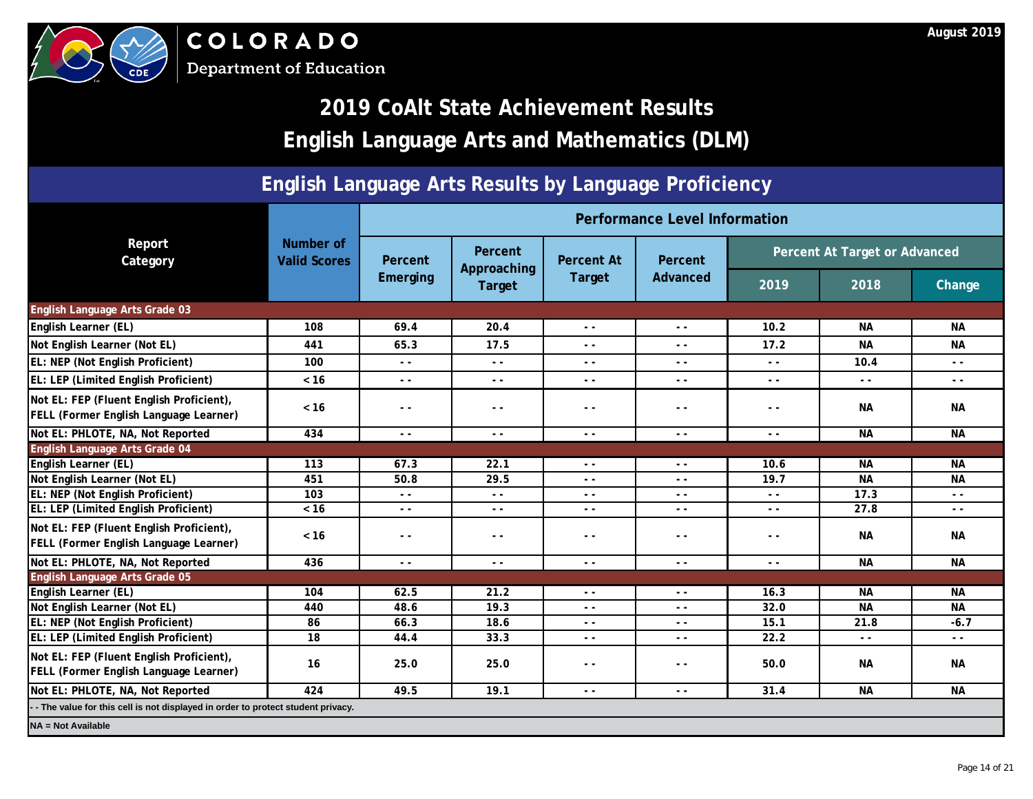

|                                                                                           |                                  |                 |                               |                          | Performance Level Information            |                                                                                 |                                          |               |  |
|-------------------------------------------------------------------------------------------|----------------------------------|-----------------|-------------------------------|--------------------------|------------------------------------------|---------------------------------------------------------------------------------|------------------------------------------|---------------|--|
| Report<br>Category                                                                        | Number of<br><b>Valid Scores</b> | Percent         | <b>Percent</b><br>Approaching | <b>Percent At</b>        | <b>Percent</b>                           | Percent At Target or Advanced                                                   |                                          |               |  |
|                                                                                           |                                  | <b>Emerging</b> | Target                        | <b>Target</b>            | <b>Advanced</b>                          | 2019                                                                            | 2018                                     | Change        |  |
| English Language Arts Grade 03                                                            |                                  |                 |                               |                          |                                          |                                                                                 |                                          |               |  |
| English Learner (EL)                                                                      | 108                              | 69.4            | 20.4                          | $\overline{\mathcal{L}}$ | $ -$                                     | 10.2                                                                            | <b>NA</b>                                | <b>NA</b>     |  |
| Not English Learner (Not EL)                                                              | 441                              | 65.3            | 17.5                          |                          | $ -$                                     | 17.2                                                                            | <b>NA</b>                                | <b>NA</b>     |  |
| EL: NEP (Not English Proficient)                                                          | 100                              | $\sim$ $\sim$   | $ -$                          | $ -$                     | $ -$                                     | $ -$                                                                            | 10.4                                     | $\sim$ $\sim$ |  |
| EL: LEP (Limited English Proficient)                                                      | $< 16$                           | $\sim$ $\sim$   | $ -$                          | $\sim$ $\sim$            | $ -$                                     | $ -$                                                                            | $\frac{1}{2} \left( \frac{1}{2} \right)$ | $\sim$ $\sim$ |  |
| Not EL: FEP (Fluent English Proficient),<br><b>FELL (Former English Language Learner)</b> | $< 16$                           | $ -$            |                               | $ -$                     | - -                                      | $ -$                                                                            | <b>NA</b>                                | <b>NA</b>     |  |
| Not EL: PHLOTE, NA, Not Reported                                                          | 434                              | $\sim$ $\sim$   |                               | $\sim$ $\sim$            | $ -$                                     | $\frac{1}{2} \left( \frac{1}{2} \right) \frac{1}{2} \left( \frac{1}{2} \right)$ | <b>NA</b>                                | <b>NA</b>     |  |
| English Language Arts Grade 04                                                            |                                  |                 |                               |                          |                                          |                                                                                 |                                          |               |  |
| English Learner (EL)                                                                      | 113                              | 67.3            | 22.1                          | $\sim$ $\sim$            | $ -$                                     | 10.6                                                                            | <b>NA</b>                                | <b>NA</b>     |  |
| Not English Learner (Not EL)                                                              | 451                              | 50.8            | 29.5                          | $ -$                     | $ -$                                     | 19.7                                                                            | <b>NA</b>                                | <b>NA</b>     |  |
| EL: NEP (Not English Proficient)                                                          | 103                              |                 | $ -$                          | $\sim$ $\sim$            | $ -$                                     | $ -$                                                                            | 17.3                                     | $ -$          |  |
| EL: LEP (Limited English Proficient)                                                      | $< 16$                           |                 | $ -$                          | $ -$                     | $ -$                                     | $ -$                                                                            | 27.8                                     | $\sim$ $\sim$ |  |
| Not EL: FEP (Fluent English Proficient),<br><b>FELL (Former English Language Learner)</b> | $< 16$                           |                 | $ -$                          | $ -$                     | $ -$                                     | $ -$                                                                            | <b>NA</b>                                | <b>NA</b>     |  |
| Not EL: PHLOTE, NA, Not Reported                                                          | 436                              | $ -$            | $ -$                          | $ -$                     | $ -$                                     | $ -$                                                                            | <b>NA</b>                                | <b>NA</b>     |  |
| English Language Arts Grade 05                                                            |                                  |                 |                               |                          |                                          |                                                                                 |                                          |               |  |
| English Learner (EL)                                                                      | 104                              | 62.5            | 21.2                          | $ -$                     | $ -$                                     | 16.3                                                                            | <b>NA</b>                                | <b>NA</b>     |  |
| Not English Learner (Not EL)                                                              | 440                              | 48.6            | 19.3                          |                          |                                          | 32.0                                                                            | <b>NA</b>                                | <b>NA</b>     |  |
| <b>EL: NEP (Not English Proficient)</b>                                                   | 86                               | 66.3            | 18.6                          | $ -$                     | $ -$                                     | 15.1                                                                            | 21.8                                     | $-6.7$        |  |
| <b>EL: LEP (Limited English Proficient)</b>                                               | 18                               | 44.4            | 33.3                          | $ -$                     | $\frac{1}{2} \left( \frac{1}{2} \right)$ | 22.2                                                                            | $\sim$ $\sim$                            | $\sim$ $\sim$ |  |
| Not EL: FEP (Fluent English Proficient),<br><b>FELL (Former English Language Learner)</b> | 16                               | 25.0            | 25.0                          | $ -$                     | - -                                      | 50.0                                                                            | NA                                       | <b>NA</b>     |  |
| Not EL: PHLOTE, NA, Not Reported                                                          | 424                              | 49.5            | 19.1                          | $ -$                     | $ -$                                     | 31.4                                                                            | <b>NA</b>                                | <b>NA</b>     |  |
| -- The value for this cell is not displayed in order to protect student privacy.          |                                  |                 |                               |                          |                                          |                                                                                 |                                          |               |  |
| <b>NA = Not Available</b>                                                                 |                                  |                 |                               |                          |                                          |                                                                                 |                                          |               |  |

## **2019 CoAlt State Achievement Results English Language Arts and Mathematics (DLM)**

### **English Language Arts Results by Language Proficiency**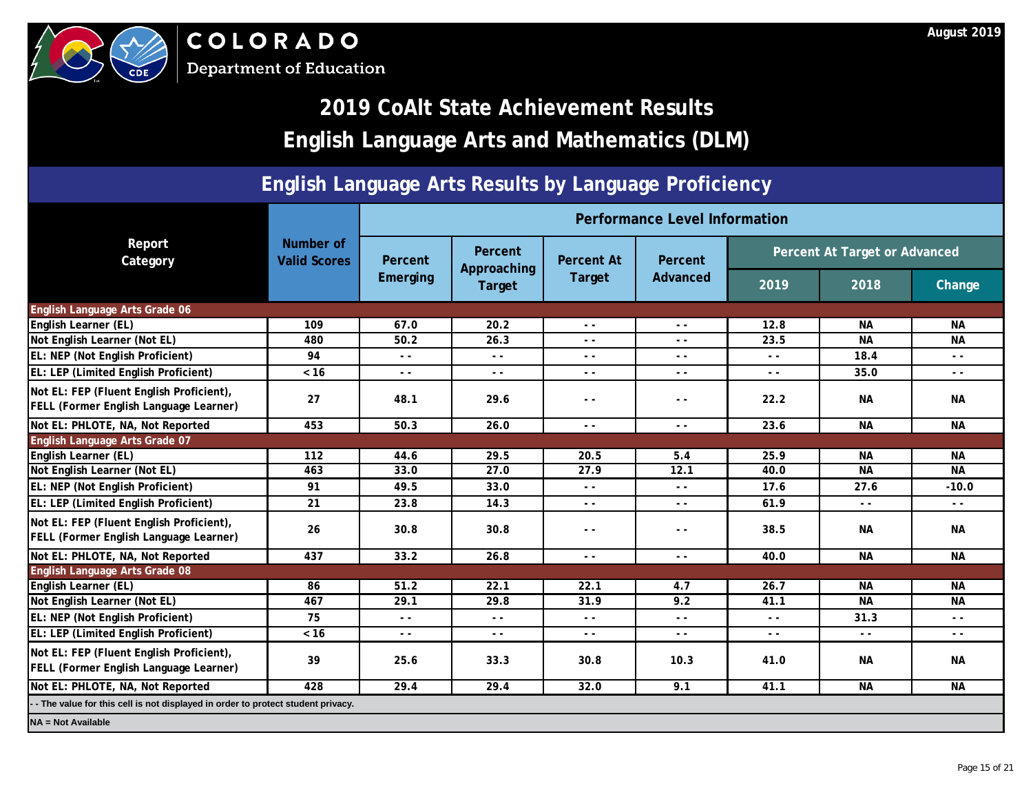

## **2019 CoAlt State Achievement Results English Language Arts and Mathematics (DLM)**

### **English Language Arts Results by Language Proficiency**

|                                                                                           |                                  |               |                        |                          | Performance Level Information |                               |           |               |
|-------------------------------------------------------------------------------------------|----------------------------------|---------------|------------------------|--------------------------|-------------------------------|-------------------------------|-----------|---------------|
| Report<br>Category                                                                        | Number of<br><b>Valid Scores</b> | Percent       | Percent<br>Approaching | <b>Percent At</b>        | <b>Percent</b>                | Percent At Target or Advanced |           |               |
|                                                                                           |                                  | Emerging      | Target                 | Target                   | <b>Advanced</b>               | 2019                          | 2018      | Change        |
| English Language Arts Grade 06                                                            |                                  |               |                        |                          |                               |                               |           |               |
| <b>English Learner (EL)</b>                                                               | 109                              | 67.0          | 20.2                   | C                        | $\sim$ $\sim$                 | 12.8                          | <b>NA</b> | <b>NA</b>     |
| Not English Learner (Not EL)                                                              | 480                              | 50.2          | 26.3                   | $\overline{\phantom{a}}$ | $ -$                          | 23.5                          | <b>NA</b> | <b>NA</b>     |
| EL: NEP (Not English Proficient)                                                          | 94                               | $ -$          | $ -$                   |                          | $ -$                          | $ -$                          | 18.4      | $\sim$ $\sim$ |
| EL: LEP (Limited English Proficient)                                                      | $< 16$                           | $ -$          | $\frac{1}{2}$          | $\sim$ $\sim$            | $ -$                          | $ -$                          | 35.0      | $\sim$ $\sim$ |
| Not EL: FEP (Fluent English Proficient),<br>FELL (Former English Language Learner)        | 27                               | 48.1          | 29.6                   | $ -$                     | $ -$                          | 22.2                          | <b>NA</b> | <b>NA</b>     |
| Not EL: PHLOTE, NA, Not Reported                                                          | 453                              | 50.3          | $-26.0$                | $\sim$ $\sim$            | $ -$                          | 23.6                          | <b>NA</b> | <b>NA</b>     |
| English Language Arts Grade 07                                                            |                                  |               |                        |                          |                               |                               |           |               |
| <b>English Learner (EL)</b>                                                               | 112                              | 44.6          | 29.5                   | 20.5                     | 5.4                           | 25.9                          | <b>NA</b> | <b>NA</b>     |
| Not English Learner (Not EL)                                                              | 463                              | 33.0          | 27.0                   | 27.9                     | 12.1                          | 40.0                          | <b>NA</b> | <b>NA</b>     |
| EL: NEP (Not English Proficient)                                                          | 91                               | 49.5          | 33.0                   | $\sim$ $\sim$            | $ -$                          | 17.6                          | 27.6      | $-10.0$       |
| EL: LEP (Limited English Proficient)                                                      | 21                               | 23.8          | 14.3                   | $ -$                     | $ -$                          | 61.9                          | $ -$      | $\sim$ $\sim$ |
| Not EL: FEP (Fluent English Proficient),<br><b>FELL (Former English Language Learner)</b> | 26                               |               | 30.8                   | $ -$                     | $ -$                          | 38.5                          | <b>NA</b> | <b>NA</b>     |
| Not EL: PHLOTE, NA, Not Reported                                                          | 437                              | 33.2          | 26.8                   | $\sim$ $\sim$            | $ -$                          | 40.0                          | <b>NA</b> | <b>NA</b>     |
| English Language Arts Grade 08                                                            |                                  |               |                        |                          |                               |                               |           |               |
| <b>English Learner (EL)</b>                                                               | 86                               | 51.2          | 22.1                   | 22.1                     | 4.7                           | 26.7                          | <b>NA</b> | <b>NA</b>     |
| Not English Learner (Not EL)                                                              | 467                              | 29.1          | 29.8                   | 31.9                     | 9.2                           | 41.1                          | <b>NA</b> | <b>NA</b>     |
| <b>EL: NEP (Not English Proficient)</b>                                                   | 75                               | $ -$          | $ -$                   | $ -$                     | $ -$                          | $ -$                          | 31.3      | $ -$          |
| <b>EL: LEP (Limited English Proficient)</b>                                               | $< 16$                           | $\sim$ $\sim$ | $ -$                   | $ -$                     | $ -$                          | $ -$                          | $ -$      | $\sim$ $\sim$ |
| Not EL: FEP (Fluent English Proficient),<br>FELL (Former English Language Learner)        | 39                               | 25.6          | 33.3                   | 30.8                     | 10.3                          | 41.0                          | <b>NA</b> | <b>NA</b>     |
| Not EL: PHLOTE, NA, Not Reported                                                          | 428                              | 29.4          | 29.4                   | 32.0                     | 9.1                           | 41.1                          | <b>NA</b> | <b>NA</b>     |
| - The value for this cell is not displayed in order to protect student privacy.           |                                  |               |                        |                          |                               |                               |           |               |
| <b>NA = Not Available</b>                                                                 |                                  |               |                        |                          |                               |                               |           |               |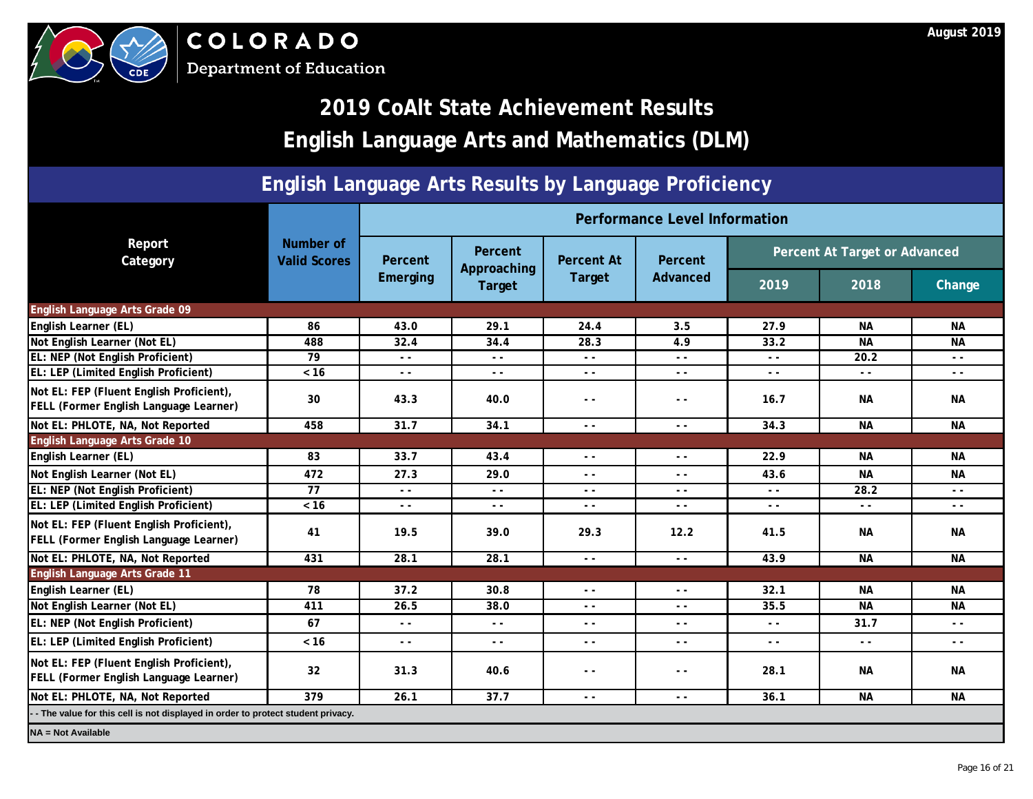

## **2019 CoAlt State Achievement Results English Language Arts and Mathematics (DLM)**

### **English Language Arts Results by Language Proficiency**

|                                                                                           |                                                                                 |                             |                        |                    | Performance Level Information            |                               |           |               |  |  |
|-------------------------------------------------------------------------------------------|---------------------------------------------------------------------------------|-----------------------------|------------------------|--------------------|------------------------------------------|-------------------------------|-----------|---------------|--|--|
| Report<br>Category                                                                        | <b>Number of</b><br><b>Valid Scores</b>                                         | Percent                     | Percent<br>Approaching | <b>Percent At</b>  | Percent                                  | Percent At Target or Advanced |           |               |  |  |
|                                                                                           |                                                                                 | <b>Emerging</b>             | Target                 | Target             | <b>Advanced</b>                          | 2019                          | 2018      | Change        |  |  |
| English Language Arts Grade 09                                                            |                                                                                 |                             |                        |                    |                                          |                               |           |               |  |  |
| English Learner (EL)                                                                      | 86                                                                              | 43.0                        | 29.1                   | 24.4               | 3.5                                      | 27.9                          | <b>NA</b> | <b>NA</b>     |  |  |
| Not English Learner (Not EL)                                                              | 488                                                                             | 32.4                        | 34.4                   | 28.3               | 4.9                                      | 33.2                          | <b>NA</b> | <b>NA</b>     |  |  |
| EL: NEP (Not English Proficient)                                                          | 79                                                                              | $ -$                        | $\sim$ $\sim$          | $ -$               | $ -$                                     | $ -$                          | 20.2      | $\sim$ $\sim$ |  |  |
| EL: LEP (Limited English Proficient)                                                      | $< 16$                                                                          | $\sim$ $\sim$               | $\sim$ $\sim$          | J<br>$\sim$ $\sim$ | $ -$                                     | $\sim$ $\sim$                 | $ -$      | $\sim$ $\sim$ |  |  |
| Not EL: FEP (Fluent English Proficient),<br><b>FELL (Former English Language Learner)</b> | 30                                                                              | 43.3                        | 40.0<br>×              | $ -$               | $ -$                                     | 16.7                          | <b>NA</b> | <b>NA</b>     |  |  |
| Not EL: PHLOTE, NA, Not Reported                                                          | 458                                                                             | 31.7                        | $-34.1$                | $ -$               | $\frac{1}{2} \left( \frac{1}{2} \right)$ | 34.3                          | <b>NA</b> | <b>NA</b>     |  |  |
| English Language Arts Grade 10                                                            |                                                                                 |                             |                        |                    |                                          |                               |           |               |  |  |
| English Learner (EL)                                                                      | 83                                                                              | 33.7                        | 43.4                   | $ -$               | $\sim$ $\sim$                            | 22.9                          | <b>NA</b> | <b>NA</b>     |  |  |
| Not English Learner (Not EL)                                                              | 472                                                                             | 27.3                        | 29.0                   | $\sim$ $\sim$      | $\sim$ $\sim$                            | 43.6                          | <b>NA</b> | <b>NA</b>     |  |  |
| EL: NEP (Not English Proficient)                                                          | 77                                                                              | $\overline{\phantom{a}}$    | $\sim$ $\sim$          | $ -$               | $ -$                                     | $\sim$ $\sim$                 | 28.2      | $\sim$ $\sim$ |  |  |
| EL: LEP (Limited English Proficient)                                                      | $< 16$                                                                          |                             | $\sim$ $\sim$          | $ -$               | $\sim$ $\sim$                            | $ -$                          | $ -$      | $\sim$ $\sim$ |  |  |
| Not EL: FEP (Fluent English Proficient),<br><b>FELL (Former English Language Learner)</b> | 41                                                                              | $O\left(\frac{1}{2}\right)$ | 39.0                   | 29.3               | 12.2                                     | 41.5                          | <b>NA</b> | <b>NA</b>     |  |  |
| Not EL: PHLOTE, NA, Not Reported                                                          | 431                                                                             | 28.1                        | 28.1                   | $\sim$ $\sim$      | $\sim$ $\sim$                            | 43.9                          | <b>NA</b> | <b>NA</b>     |  |  |
| <b>English Language Arts Grade 11</b>                                                     |                                                                                 |                             |                        |                    |                                          |                               |           |               |  |  |
| English Learner (EL)                                                                      | 78                                                                              | 37.2                        | 30.8                   | $\frac{1}{2}$      | $ -$                                     | 32.1                          | <b>NA</b> | <b>NA</b>     |  |  |
| Not English Learner (Not EL)                                                              | 411                                                                             | 26.5                        | 38.0                   |                    |                                          | 35.5                          | <b>NA</b> | <b>NA</b>     |  |  |
| <b>EL: NEP (Not English Proficient)</b>                                                   | 67                                                                              | $ -$                        | $\sim$ $\sim$          | $ -$               | $\sim$ $\sim$                            | $ -$                          | 31.7      | $ -$          |  |  |
| <b>EL: LEP (Limited English Proficient)</b>                                               | $< 16$                                                                          | $ -$                        | $ -$                   | $ -$               | $ -$                                     | $ -$                          | $ -$      | $- -$         |  |  |
| Not EL: FEP (Fluent English Proficient),<br>FELL (Former English Language Learner)        | 32                                                                              | 31.3                        | 40.6                   | $ -$               | $ -$                                     | 28.1                          | <b>NA</b> | <b>NA</b>     |  |  |
| Not EL: PHLOTE, NA, Not Reported                                                          | 379                                                                             | 26.1                        | 37.7                   | $ -$               | $ -$                                     | 36.1                          | <b>NA</b> | <b>NA</b>     |  |  |
|                                                                                           | - The value for this cell is not displayed in order to protect student privacy. |                             |                        |                    |                                          |                               |           |               |  |  |
| <b>NA = Not Available</b>                                                                 |                                                                                 |                             |                        |                    |                                          |                               |           |               |  |  |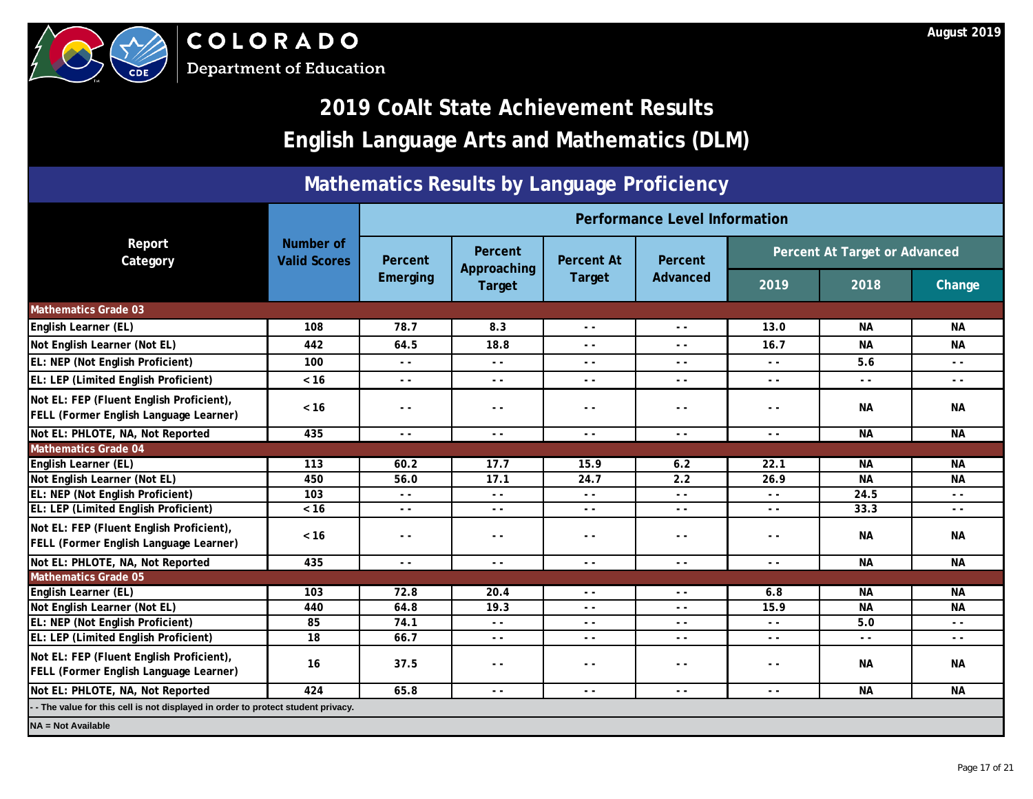|                                                                                           |                                  | Performance Level Information |                                  |                                                                                                                                                                                                                                                                                                                                                                                              |                                                                                                                                                                                                                                                                                                                                                                                              |                                          |           |               |  |
|-------------------------------------------------------------------------------------------|----------------------------------|-------------------------------|----------------------------------|----------------------------------------------------------------------------------------------------------------------------------------------------------------------------------------------------------------------------------------------------------------------------------------------------------------------------------------------------------------------------------------------|----------------------------------------------------------------------------------------------------------------------------------------------------------------------------------------------------------------------------------------------------------------------------------------------------------------------------------------------------------------------------------------------|------------------------------------------|-----------|---------------|--|
| Report<br>Category                                                                        | Number of<br><b>Valid Scores</b> | Percent<br><b>Emerging</b>    | Percent<br>Approaching<br>Target | <b>Percent At</b>                                                                                                                                                                                                                                                                                                                                                                            | <b>Percent</b>                                                                                                                                                                                                                                                                                                                                                                               | Percent At Target or Advanced            |           |               |  |
|                                                                                           |                                  |                               |                                  | Target                                                                                                                                                                                                                                                                                                                                                                                       | <b>Advanced</b>                                                                                                                                                                                                                                                                                                                                                                              | 2019                                     | 2018      | Change        |  |
| <b>Mathematics Grade 03</b>                                                               |                                  |                               |                                  |                                                                                                                                                                                                                                                                                                                                                                                              |                                                                                                                                                                                                                                                                                                                                                                                              |                                          |           |               |  |
| English Learner (EL)                                                                      | 108                              | 78.7                          | 8.3                              | $\blacktriangleright$                                                                                                                                                                                                                                                                                                                                                                        | $ -$                                                                                                                                                                                                                                                                                                                                                                                         | 13.0                                     | <b>NA</b> | <b>NA</b>     |  |
| Not English Learner (Not EL)                                                              | 442                              | 64.5                          | 18.8                             |                                                                                                                                                                                                                                                                                                                                                                                              | $ -$                                                                                                                                                                                                                                                                                                                                                                                         | 16.7                                     | <b>NA</b> | <b>NA</b>     |  |
| EL: NEP (Not English Proficient)                                                          | 100                              | $\sim$ $\sim$                 | $\sim$ $\sim$                    | $ -$                                                                                                                                                                                                                                                                                                                                                                                         | $ -$                                                                                                                                                                                                                                                                                                                                                                                         | $ -$                                     | 5.6       | $ -$          |  |
| EL: LEP (Limited English Proficient)                                                      | $< 16$                           | $ -$                          | $\sim$ $\sim$                    | $ -$                                                                                                                                                                                                                                                                                                                                                                                         | $\frac{1}{2} \left( \frac{1}{2} \right)$                                                                                                                                                                                                                                                                                                                                                     | $\frac{1}{2} \left( \frac{1}{2} \right)$ | $ -$      | $\sim$ $\sim$ |  |
| Not EL: FEP (Fluent English Proficient),<br>FELL (Former English Language Learner)        | $< 16$                           | $ -$                          |                                  | $ -$                                                                                                                                                                                                                                                                                                                                                                                         | - -                                                                                                                                                                                                                                                                                                                                                                                          | $ -$                                     | <b>NA</b> | <b>NA</b>     |  |
| Not EL: PHLOTE, NA, Not Reported                                                          | 435                              | $\sim$ $\sim$                 |                                  | $\frac{1}{2} \frac{1}{2} \frac{1}{2} \frac{1}{2} \frac{1}{2} \frac{1}{2} \frac{1}{2} \frac{1}{2} \frac{1}{2} \frac{1}{2} \frac{1}{2} \frac{1}{2} \frac{1}{2} \frac{1}{2} \frac{1}{2} \frac{1}{2} \frac{1}{2} \frac{1}{2} \frac{1}{2} \frac{1}{2} \frac{1}{2} \frac{1}{2} \frac{1}{2} \frac{1}{2} \frac{1}{2} \frac{1}{2} \frac{1}{2} \frac{1}{2} \frac{1}{2} \frac{1}{2} \frac{1}{2} \frac{$ | $- -$                                                                                                                                                                                                                                                                                                                                                                                        | $ -$                                     | <b>NA</b> | <b>NA</b>     |  |
| <b>Mathematics Grade 04</b>                                                               |                                  |                               |                                  |                                                                                                                                                                                                                                                                                                                                                                                              |                                                                                                                                                                                                                                                                                                                                                                                              |                                          |           |               |  |
| <b>English Learner (EL)</b>                                                               | 113                              | 60.2                          | 17.7                             | 15.9                                                                                                                                                                                                                                                                                                                                                                                         | 6.2                                                                                                                                                                                                                                                                                                                                                                                          | 22.1                                     | <b>NA</b> | <b>NA</b>     |  |
| Not English Learner (Not EL)                                                              | 450                              | 56.0<br>$\mathcal{O}$         | 17.1                             | 24.7                                                                                                                                                                                                                                                                                                                                                                                         | 2.2                                                                                                                                                                                                                                                                                                                                                                                          | 26.9                                     | <b>NA</b> | <b>NA</b>     |  |
| EL: NEP (Not English Proficient)                                                          | 103                              |                               | $ -$                             | $ -$                                                                                                                                                                                                                                                                                                                                                                                         | $- -$                                                                                                                                                                                                                                                                                                                                                                                        | $\sim$ $\sim$                            | 24.5      | $ -$          |  |
| EL: LEP (Limited English Proficient)                                                      | $< 16$                           |                               | $\frac{1}{2}$                    | $ -$                                                                                                                                                                                                                                                                                                                                                                                         | $ -$                                                                                                                                                                                                                                                                                                                                                                                         | $ -$                                     | 33.3      | $\sim$ $\sim$ |  |
| Not EL: FEP (Fluent English Proficient),<br>FELL (Former English Language Learner)        | $< 16$                           |                               | - -                              | $ -$                                                                                                                                                                                                                                                                                                                                                                                         | - -                                                                                                                                                                                                                                                                                                                                                                                          | $ -$                                     | <b>NA</b> | <b>NA</b>     |  |
| Not EL: PHLOTE, NA, Not Reported                                                          | 435                              | $ -$                          | $\sim$ $\sim$                    | $\sim$ $\sim$                                                                                                                                                                                                                                                                                                                                                                                | $\frac{1}{2} \frac{1}{2} \frac{1}{2} \frac{1}{2} \frac{1}{2} \frac{1}{2} \frac{1}{2} \frac{1}{2} \frac{1}{2} \frac{1}{2} \frac{1}{2} \frac{1}{2} \frac{1}{2} \frac{1}{2} \frac{1}{2} \frac{1}{2} \frac{1}{2} \frac{1}{2} \frac{1}{2} \frac{1}{2} \frac{1}{2} \frac{1}{2} \frac{1}{2} \frac{1}{2} \frac{1}{2} \frac{1}{2} \frac{1}{2} \frac{1}{2} \frac{1}{2} \frac{1}{2} \frac{1}{2} \frac{$ | $ -$                                     | <b>NA</b> | <b>NA</b>     |  |
| <b>Mathematics Grade 05</b>                                                               |                                  |                               |                                  |                                                                                                                                                                                                                                                                                                                                                                                              |                                                                                                                                                                                                                                                                                                                                                                                              |                                          |           |               |  |
| <b>English Learner (EL)</b>                                                               | 103                              | 72.8                          | 20.4                             | $\frac{1}{2} \left( \frac{1}{2} \right)$                                                                                                                                                                                                                                                                                                                                                     | $ -$                                                                                                                                                                                                                                                                                                                                                                                         | 6.8                                      | <b>NA</b> | <b>NA</b>     |  |
| Not English Learner (Not EL)                                                              | 440                              | 64.8                          | 19.3                             |                                                                                                                                                                                                                                                                                                                                                                                              |                                                                                                                                                                                                                                                                                                                                                                                              | 15.9                                     | <b>NA</b> | <b>NA</b>     |  |
| <b>EL: NEP (Not English Proficient)</b>                                                   | 85                               | 74.1                          | $ -$                             | $ -$                                                                                                                                                                                                                                                                                                                                                                                         | $ -$                                                                                                                                                                                                                                                                                                                                                                                         | $ -$                                     | 5.0       | $\sim$ $\sim$ |  |
| <b>EL: LEP (Limited English Proficient)</b>                                               | 18                               | 66.7                          | $ -$                             | $\sim$ $\sim$                                                                                                                                                                                                                                                                                                                                                                                | $\sim$ $\sim$                                                                                                                                                                                                                                                                                                                                                                                | $\sim$ $\sim$                            | $ -$      | $\sim$ $\sim$ |  |
| Not EL: FEP (Fluent English Proficient),<br><b>FELL (Former English Language Learner)</b> | 16                               | 37.5                          | $ -$                             | $ -$                                                                                                                                                                                                                                                                                                                                                                                         | - -                                                                                                                                                                                                                                                                                                                                                                                          | $ -$                                     | <b>NA</b> | <b>NA</b>     |  |
| Not EL: PHLOTE, NA, Not Reported                                                          | 424                              | 65.8                          | $\sim$ $\sim$                    | $ -$                                                                                                                                                                                                                                                                                                                                                                                         | $- -$                                                                                                                                                                                                                                                                                                                                                                                        | $ -$                                     | <b>NA</b> | <b>NA</b>     |  |
| - - The value for this cell is not displayed in order to protect student privacy.         |                                  |                               |                                  |                                                                                                                                                                                                                                                                                                                                                                                              |                                                                                                                                                                                                                                                                                                                                                                                              |                                          |           |               |  |
| <b>NA = Not Available</b>                                                                 |                                  |                               |                                  |                                                                                                                                                                                                                                                                                                                                                                                              |                                                                                                                                                                                                                                                                                                                                                                                              |                                          |           |               |  |





## **2019 CoAlt State Achievement Results English Language Arts and Mathematics (DLM)**

### **Mathematics Results by Language Proficiency**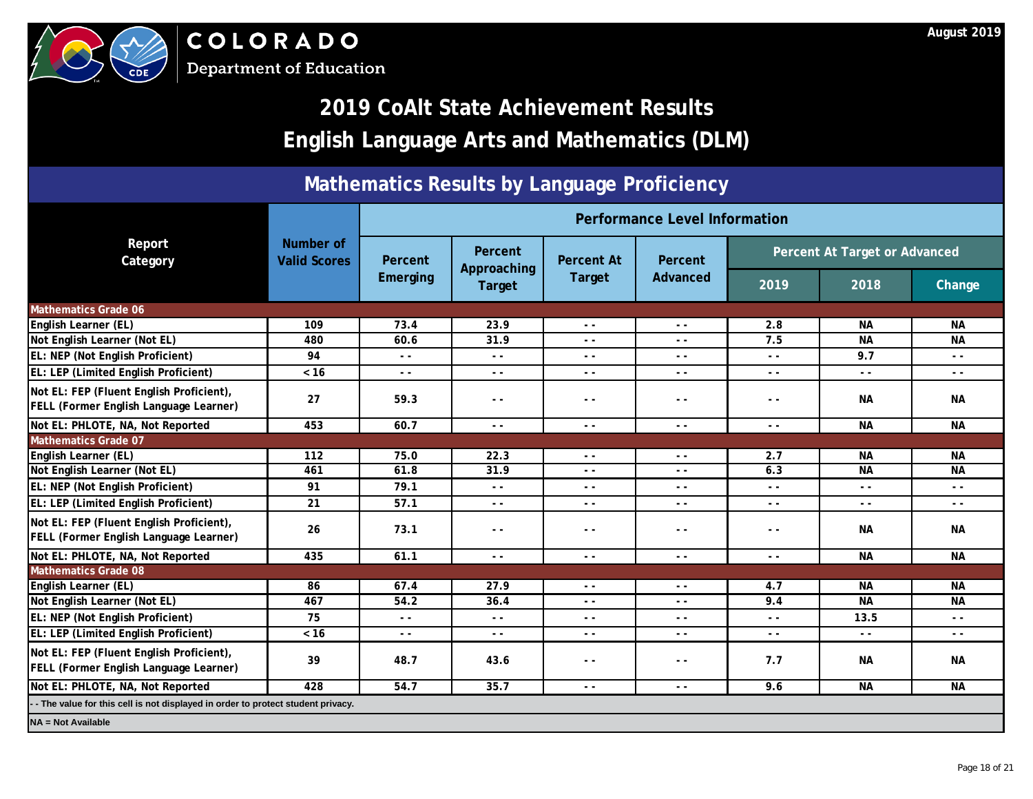



## **2019 CoAlt State Achievement Results English Language Arts and Mathematics (DLM)**

### **Mathematics Results by Language Proficiency**

|                                                                                           |                                  | Performance Level Information |                                         |                          |                 |                               |               |           |  |
|-------------------------------------------------------------------------------------------|----------------------------------|-------------------------------|-----------------------------------------|--------------------------|-----------------|-------------------------------|---------------|-----------|--|
| Report<br>Category                                                                        | Number of<br><b>Valid Scores</b> | Percent<br><b>Emerging</b>    | <b>Percent</b><br>Approaching<br>Target | <b>Percent At</b>        | Percent         | Percent At Target or Advanced |               |           |  |
|                                                                                           |                                  |                               |                                         | Target                   | <b>Advanced</b> | 2019                          | 2018          | Change    |  |
| <b>Mathematics Grade 06</b>                                                               |                                  |                               |                                         |                          |                 |                               |               |           |  |
| <b>English Learner (EL)</b>                                                               | 109                              | 73.4                          | 23.9                                    | C                        | $\sim$ $\sim$   | 2.8                           | <b>NA</b>     | <b>NA</b> |  |
| Not English Learner (Not EL)                                                              | 480                              | 60.6                          | 31.9                                    | $\overline{\phantom{a}}$ | $ -$            | 7.5                           | <b>NA</b>     | <b>NA</b> |  |
| EL: NEP (Not English Proficient)                                                          | 94                               | $ -$                          | $\sim$ $\sim$                           |                          | $ -$            | $ -$                          | 9.7           | $- -$     |  |
| EL: LEP (Limited English Proficient)                                                      | $<16$                            | $\sim$ $\sim$                 | $\sim$ $\sim$                           | $ -$                     | $ -$            | $ -$                          | $ -$          | $ -$      |  |
| Not EL: FEP (Fluent English Proficient),<br><b>FELL (Former English Language Learner)</b> | 27                               | 59.3                          |                                         | $ -$                     | $ -$            | $ -$                          | <b>NA</b>     | <b>NA</b> |  |
| Not EL: PHLOTE, NA, Not Reported                                                          | 453                              | 60.7                          | $\mathcal{L}$                           | $ -$                     | $ -$            | $ -$                          | <b>NA</b>     | <b>NA</b> |  |
| <b>Mathematics Grade 07</b>                                                               |                                  |                               |                                         |                          |                 |                               |               |           |  |
| <b>English Learner (EL)</b>                                                               | 112                              | 75.0                          | 22.3                                    | $ -$                     | $ -$            | 2.7                           | <b>NA</b>     | <b>NA</b> |  |
| Not English Learner (Not EL)                                                              | 461                              | 61.8                          | 31.9                                    | $ -$                     | $ -$            | 6.3                           | <b>NA</b>     | <b>NA</b> |  |
| EL: NEP (Not English Proficient)                                                          | 91                               | 79.1                          | $\sim$ $\sim$                           | $ -$                     | $ -$            | $ -$                          | $ -$          | $ -$      |  |
| EL: LEP (Limited English Proficient)                                                      | 21                               | 57.1                          | $\sim$ $\sim$                           | $ -$                     | $ -$            | $ -$                          | $ -$          | $ -$      |  |
| Not EL: FEP (Fluent English Proficient),<br>FELL (Former English Language Learner)        | 26                               |                               | $\sim$ $\sim$                           | $ -$                     | $ -$            | $ -$                          | <b>NA</b>     | <b>NA</b> |  |
| Not EL: PHLOTE, NA, Not Reported                                                          | 435                              | 61.1                          | $\sim$ $\sim$                           | $ -$                     | $ -$            | $ -$                          | <b>NA</b>     | <b>NA</b> |  |
| <b>Mathematics Grade 08</b>                                                               |                                  |                               |                                         |                          |                 |                               |               |           |  |
| <b>English Learner (EL)</b>                                                               | 86                               | 67.4                          | 27.9                                    | $ -$                     | $ -$            | 4.7                           | <b>NA</b>     | <b>NA</b> |  |
| Not English Learner (Not EL)                                                              | 467                              | 54.2                          | 36.4                                    | $ -$                     | $ -$            | 9.4                           | <b>NA</b>     | <b>NA</b> |  |
| <b>EL: NEP (Not English Proficient)</b>                                                   | 75                               | $ -$                          | $\sim$ $\sim$                           | $ -$                     | $\sim$ $\sim$   | $ -$                          | 13.5          | $ -$      |  |
| EL: LEP (Limited English Proficient)                                                      | $<16$                            | $ -$                          | $ -$                                    | $\sim$ $\sim$            | $ -$            | $ -$                          | $\sim$ $\sim$ | $ -$      |  |
| Not EL: FEP (Fluent English Proficient),<br><b>FELL (Former English Language Learner)</b> | 39                               | 48.7                          | 43.6                                    | $ -$                     | $- -$           | 7.7                           | <b>NA</b>     | <b>NA</b> |  |
| Not EL: PHLOTE, NA, Not Reported                                                          | 428                              | 54.7                          | 35.7                                    | $\sim$ $\sim$            | $\sim$ $\sim$   | 9.6                           | <b>NA</b>     | <b>NA</b> |  |
| - The value for this cell is not displayed in order to protect student privacy.           |                                  |                               |                                         |                          |                 |                               |               |           |  |
| <b>NA = Not Available</b>                                                                 |                                  |                               |                                         |                          |                 |                               |               |           |  |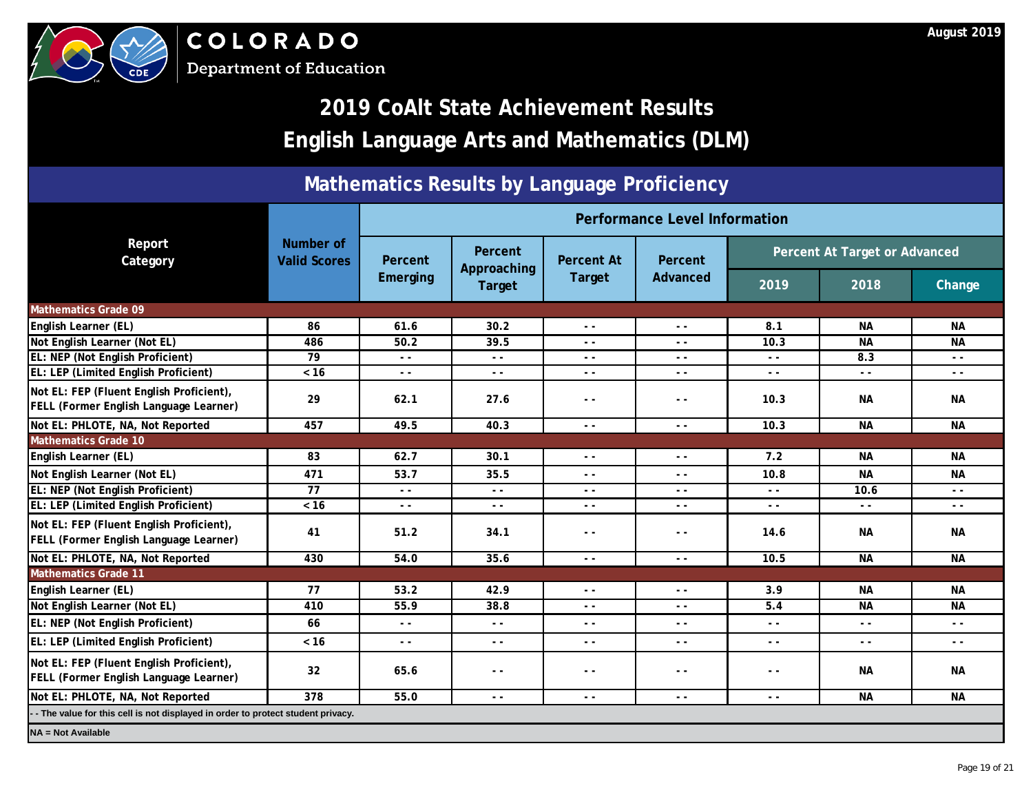



## **2019 CoAlt State Achievement Results English Language Arts and Mathematics (DLM)**

### **Mathematics Results by Language Proficiency**

|                                                                                    |                                  | <b>Performance Level Information</b> |                                  |                   |                 |                                                                                 |               |                                                                                                                                                                                                                                                                                                                                                                                              |  |
|------------------------------------------------------------------------------------|----------------------------------|--------------------------------------|----------------------------------|-------------------|-----------------|---------------------------------------------------------------------------------|---------------|----------------------------------------------------------------------------------------------------------------------------------------------------------------------------------------------------------------------------------------------------------------------------------------------------------------------------------------------------------------------------------------------|--|
| Report<br>Category                                                                 | Number of<br><b>Valid Scores</b> | Percent<br>Emerging                  | Percent<br>Approaching<br>Target | <b>Percent At</b> | <b>Percent</b>  | Percent At Target or Advanced                                                   |               |                                                                                                                                                                                                                                                                                                                                                                                              |  |
|                                                                                    |                                  |                                      |                                  | Target            | <b>Advanced</b> | 2019                                                                            | 2018          | <b>Change</b>                                                                                                                                                                                                                                                                                                                                                                                |  |
| <b>Mathematics Grade 09</b>                                                        |                                  |                                      |                                  |                   |                 |                                                                                 |               |                                                                                                                                                                                                                                                                                                                                                                                              |  |
| <b>English Learner (EL)</b>                                                        | 86                               | 61.6                                 | 30.2                             | $\epsilon$        | $ -$            | 8.1                                                                             | <b>NA</b>     | <b>NA</b>                                                                                                                                                                                                                                                                                                                                                                                    |  |
| Not English Learner (Not EL)                                                       | 486                              | 50.2                                 | 39.5                             |                   | $ -$            | 10.3                                                                            | <b>NA</b>     | <b>NA</b>                                                                                                                                                                                                                                                                                                                                                                                    |  |
| EL: NEP (Not English Proficient)                                                   | 79                               | $ -$                                 | $ -$                             | $ -$              | $ -$            | $ -$                                                                            | 8.3           | $\sim$ $\sim$                                                                                                                                                                                                                                                                                                                                                                                |  |
| EL: LEP (Limited English Proficient)                                               | $< 16$                           | $ -$                                 | $\frac{1}{2}$                    | $\sim$ $\sim$     | $ -$            | $\sim$ $\sim$                                                                   | $ -$          | $\sim$ $\sim$                                                                                                                                                                                                                                                                                                                                                                                |  |
| Not EL: FEP (Fluent English Proficient),<br>FELL (Former English Language Learner) | 29                               | 62.1                                 | 27.6                             | $ -$              | $ -$            | 10.3                                                                            | <b>NA</b>     | <b>NA</b>                                                                                                                                                                                                                                                                                                                                                                                    |  |
| Not EL: PHLOTE, NA, Not Reported                                                   | 457                              | 49.5                                 | 40.3                             | $\sim$ $\sim$     | $ -$            | 10.3                                                                            | <b>NA</b>     | <b>NA</b>                                                                                                                                                                                                                                                                                                                                                                                    |  |
| <b>Mathematics Grade 10</b>                                                        |                                  |                                      |                                  |                   |                 |                                                                                 |               |                                                                                                                                                                                                                                                                                                                                                                                              |  |
| <b>English Learner (EL)</b>                                                        | 83                               | 62.7                                 | 30.1                             | $\sim$ $\sim$     | $ -$            | 7.2                                                                             | <b>NA</b>     | <b>NA</b>                                                                                                                                                                                                                                                                                                                                                                                    |  |
| Not English Learner (Not EL)                                                       | 471                              | 53.7                                 | 35.5                             | $\sim$ $\sim$     | $ -$            | 10.8                                                                            | <b>NA</b>     | <b>NA</b>                                                                                                                                                                                                                                                                                                                                                                                    |  |
| EL: NEP (Not English Proficient)                                                   | 77                               |                                      | $ -$                             | $ -$              | $ -$            | $ -$                                                                            | 10.6          | $\frac{1}{2} \frac{1}{2} \frac{1}{2} \frac{1}{2} \frac{1}{2} \frac{1}{2} \frac{1}{2} \frac{1}{2} \frac{1}{2} \frac{1}{2} \frac{1}{2} \frac{1}{2} \frac{1}{2} \frac{1}{2} \frac{1}{2} \frac{1}{2} \frac{1}{2} \frac{1}{2} \frac{1}{2} \frac{1}{2} \frac{1}{2} \frac{1}{2} \frac{1}{2} \frac{1}{2} \frac{1}{2} \frac{1}{2} \frac{1}{2} \frac{1}{2} \frac{1}{2} \frac{1}{2} \frac{1}{2} \frac{$ |  |
| EL: LEP (Limited English Proficient)                                               | $< 16$                           |                                      | $\sim$ $\sim$                    | $\sim$ $\sim$     | $ -$            | $\sim$ $\sim$                                                                   | $\sim$ $\sim$ | $\sim$ $\sim$                                                                                                                                                                                                                                                                                                                                                                                |  |
| Not EL: FEP (Fluent English Proficient),<br>FELL (Former English Language Learner) | 41                               | <b>751</b>                           | 34.1                             | $ -$              | $ -$            | 14.6                                                                            | <b>NA</b>     | <b>NA</b>                                                                                                                                                                                                                                                                                                                                                                                    |  |
| Not EL: PHLOTE, NA, Not Reported                                                   | 430                              | 54.0                                 | 35.6                             | $ -$              | $ -$            | 10.5                                                                            | <b>NA</b>     | <b>NA</b>                                                                                                                                                                                                                                                                                                                                                                                    |  |
| <b>Mathematics Grade 11</b>                                                        |                                  |                                      |                                  |                   |                 |                                                                                 |               |                                                                                                                                                                                                                                                                                                                                                                                              |  |
| English Learner (EL)                                                               | 77                               | 53.2                                 | 42.9                             | $ -$              | $ -$            | 3.9                                                                             | <b>NA</b>     | <b>NA</b>                                                                                                                                                                                                                                                                                                                                                                                    |  |
| Not English Learner (Not EL)                                                       | 410                              | 55.9                                 | 38.8                             |                   |                 | 5.4                                                                             | <b>NA</b>     | <b>NA</b>                                                                                                                                                                                                                                                                                                                                                                                    |  |
| <b>EL: NEP (Not English Proficient)</b>                                            | 66                               | $ -$                                 | $ -$                             | $ -$              | $ -$            | $ -$                                                                            | $ -$          | $ -$                                                                                                                                                                                                                                                                                                                                                                                         |  |
| <b>EL: LEP (Limited English Proficient)</b>                                        | $< 16$                           | $ -$                                 | $ -$                             | $\sim$ $\sim$     | $ -$            | $\frac{1}{2} \left( \frac{1}{2} \right) \frac{1}{2} \left( \frac{1}{2} \right)$ | $ -$          | $ -$                                                                                                                                                                                                                                                                                                                                                                                         |  |
| Not EL: FEP (Fluent English Proficient),<br>FELL (Former English Language Learner) | 32 <sup>2</sup>                  | 65.6                                 | $ -$                             | $- -$             | $ -$            | $ -$                                                                            | <b>NA</b>     | <b>NA</b>                                                                                                                                                                                                                                                                                                                                                                                    |  |
| Not EL: PHLOTE, NA, Not Reported                                                   | 378                              | 55.0                                 | $ -$                             | $\sim$ $\sim$     | $ -$            | $ -$                                                                            | <b>NA</b>     | <b>NA</b>                                                                                                                                                                                                                                                                                                                                                                                    |  |
| - The value for this cell is not displayed in order to protect student privacy.    |                                  |                                      |                                  |                   |                 |                                                                                 |               |                                                                                                                                                                                                                                                                                                                                                                                              |  |
| <b>NA = Not Available</b>                                                          |                                  |                                      |                                  |                   |                 |                                                                                 |               |                                                                                                                                                                                                                                                                                                                                                                                              |  |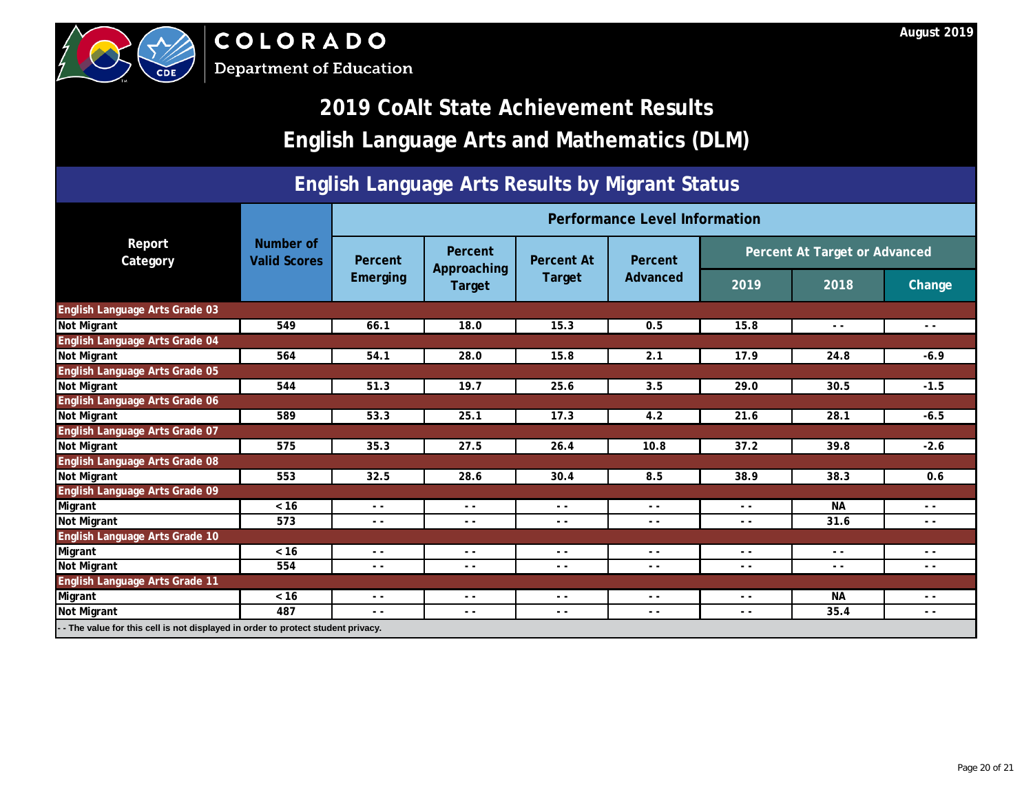| <b>English Language Arts and Mathematics (DLM)</b>                              |                                  |                                      |                               |                                                                                                                                                                                                                                                                                                                                                                                              |          |                               |               |               |  |  |
|---------------------------------------------------------------------------------|----------------------------------|--------------------------------------|-------------------------------|----------------------------------------------------------------------------------------------------------------------------------------------------------------------------------------------------------------------------------------------------------------------------------------------------------------------------------------------------------------------------------------------|----------|-------------------------------|---------------|---------------|--|--|
| <b>English Language Arts Results by Migrant Status</b>                          |                                  |                                      |                               |                                                                                                                                                                                                                                                                                                                                                                                              |          |                               |               |               |  |  |
|                                                                                 |                                  | <b>Performance Level Information</b> |                               |                                                                                                                                                                                                                                                                                                                                                                                              |          |                               |               |               |  |  |
| Report<br>Category                                                              | Number of<br><b>Valid Scores</b> | Percent                              | <b>Percent</b><br>Approaching | <b>Percent At</b>                                                                                                                                                                                                                                                                                                                                                                            | Percent  | Percent At Target or Advanced |               |               |  |  |
|                                                                                 |                                  | Emerging                             | Target                        | <b>Target</b>                                                                                                                                                                                                                                                                                                                                                                                | Advanced | 2019                          | 2018          | <b>Change</b> |  |  |
| English Language Arts Grade 03                                                  |                                  |                                      |                               |                                                                                                                                                                                                                                                                                                                                                                                              |          |                               |               |               |  |  |
| Not Migrant                                                                     | 549                              | 66.1                                 | 18.0                          | 15.3                                                                                                                                                                                                                                                                                                                                                                                         | 0.5      | 15.8                          | $\sim$ $\sim$ | $ -$          |  |  |
| <b>English Language Arts Grade 04</b>                                           |                                  |                                      |                               |                                                                                                                                                                                                                                                                                                                                                                                              |          |                               |               |               |  |  |
| Not Migrant                                                                     | 564                              | 54.1                                 | 28.0                          | 15.8                                                                                                                                                                                                                                                                                                                                                                                         | 2.1      | 17.9                          | 24.8          | $-6.9$        |  |  |
| English Language Arts Grade 05                                                  |                                  |                                      |                               |                                                                                                                                                                                                                                                                                                                                                                                              |          |                               |               |               |  |  |
| Not Migrant                                                                     | 544                              | 51.3                                 | 19.7                          | $\blacktriangleright$ 25.6                                                                                                                                                                                                                                                                                                                                                                   | 3.5      | 29.0                          | 30.5          | $-1.5$        |  |  |
| English Language Arts Grade 06                                                  |                                  |                                      |                               |                                                                                                                                                                                                                                                                                                                                                                                              |          |                               |               |               |  |  |
| Not Migrant                                                                     | 589                              | 53.3                                 | 25.1                          | 17.3                                                                                                                                                                                                                                                                                                                                                                                         | 4.2      | 21.6                          | 28.1          | $-6.5$        |  |  |
| English Language Arts Grade 07                                                  |                                  |                                      |                               |                                                                                                                                                                                                                                                                                                                                                                                              |          |                               |               |               |  |  |
| Not Migrant                                                                     | 575                              | 35.3                                 | 27.5                          | 26.4                                                                                                                                                                                                                                                                                                                                                                                         | 10.8     | 37.2                          | 39.8          | $-2.6$        |  |  |
| English Language Arts Grade 08                                                  |                                  |                                      |                               |                                                                                                                                                                                                                                                                                                                                                                                              |          |                               |               |               |  |  |
| Not Migrant                                                                     | 553                              | 32.5                                 | 28.6                          | 30.4                                                                                                                                                                                                                                                                                                                                                                                         | 8.5      | 38.9                          | 38.3          | 0.6           |  |  |
| English Language Arts Grade 09                                                  |                                  |                                      |                               |                                                                                                                                                                                                                                                                                                                                                                                              |          |                               |               |               |  |  |
| Migrant                                                                         | $< 16$                           | $ -$                                 | $ -$                          | $\sim$ $\sim$                                                                                                                                                                                                                                                                                                                                                                                | $ -$     | $ -$                          | <b>NA</b>     | $ -$          |  |  |
| Not Migrant                                                                     | 573                              | $-5$                                 | $ -$                          | $ -$                                                                                                                                                                                                                                                                                                                                                                                         | $ -$     | $ -$                          | 31.6          | $ -$          |  |  |
| English Language Arts Grade 10                                                  |                                  |                                      |                               |                                                                                                                                                                                                                                                                                                                                                                                              |          |                               |               |               |  |  |
| Migrant                                                                         | $< 16$                           | <u>J.</u>                            | $ -$                          | $\frac{1}{2} \frac{1}{2} \frac{1}{2} \frac{1}{2} \frac{1}{2} \frac{1}{2} \frac{1}{2} \frac{1}{2} \frac{1}{2} \frac{1}{2} \frac{1}{2} \frac{1}{2} \frac{1}{2} \frac{1}{2} \frac{1}{2} \frac{1}{2} \frac{1}{2} \frac{1}{2} \frac{1}{2} \frac{1}{2} \frac{1}{2} \frac{1}{2} \frac{1}{2} \frac{1}{2} \frac{1}{2} \frac{1}{2} \frac{1}{2} \frac{1}{2} \frac{1}{2} \frac{1}{2} \frac{1}{2} \frac{$ | $ -$     | $- -$                         | $\sim$ $\sim$ | $ -$          |  |  |
| Not Migrant                                                                     | 554                              | $\sum_{i=1}^{n}$                     | $ -$                          | $ -$                                                                                                                                                                                                                                                                                                                                                                                         | $ -$     | $ -$                          | $ -$          | $ -$          |  |  |
| English Language Arts Grade 11                                                  |                                  |                                      |                               |                                                                                                                                                                                                                                                                                                                                                                                              |          |                               |               |               |  |  |
| Migrant                                                                         | $< 16$                           | $ -$                                 | $ -$                          | $- -$                                                                                                                                                                                                                                                                                                                                                                                        | $- -$    | $\sim$ $\sim$                 | <b>NA</b>     | $ -$          |  |  |
| Not Migrant                                                                     | 487                              | $ -$                                 | $ -$                          | $ -$                                                                                                                                                                                                                                                                                                                                                                                         | $ -$     | $\sim$ $\sim$                 | 35.4          | $ -$          |  |  |
| - The value for this cell is not displayed in order to protect student privacy. |                                  |                                      |                               |                                                                                                                                                                                                                                                                                                                                                                                              |          |                               |               |               |  |  |





# **2019 CoAlt State Achievement Results**